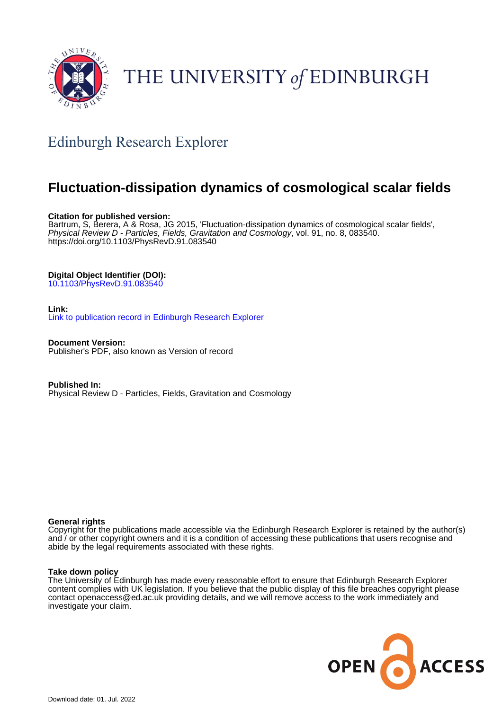

# THE UNIVERSITY of EDINBURGH

# Edinburgh Research Explorer

# **Fluctuation-dissipation dynamics of cosmological scalar fields**

# **Citation for published version:**

Bartrum, S, Berera, A & Rosa, JG 2015, 'Fluctuation-dissipation dynamics of cosmological scalar fields', Physical Review D - Particles, Fields, Gravitation and Cosmology, vol. 91, no. 8, 083540. <https://doi.org/10.1103/PhysRevD.91.083540>

# **Digital Object Identifier (DOI):**

[10.1103/PhysRevD.91.083540](https://doi.org/10.1103/PhysRevD.91.083540)

# **Link:**

[Link to publication record in Edinburgh Research Explorer](https://www.research.ed.ac.uk/en/publications/0641a626-3bbf-47fc-a30c-cededaf56987)

**Document Version:** Publisher's PDF, also known as Version of record

**Published In:** Physical Review D - Particles, Fields, Gravitation and Cosmology

# **General rights**

Copyright for the publications made accessible via the Edinburgh Research Explorer is retained by the author(s) and / or other copyright owners and it is a condition of accessing these publications that users recognise and abide by the legal requirements associated with these rights.

# **Take down policy**

The University of Edinburgh has made every reasonable effort to ensure that Edinburgh Research Explorer content complies with UK legislation. If you believe that the public display of this file breaches copyright please contact openaccess@ed.ac.uk providing details, and we will remove access to the work immediately and investigate your claim.

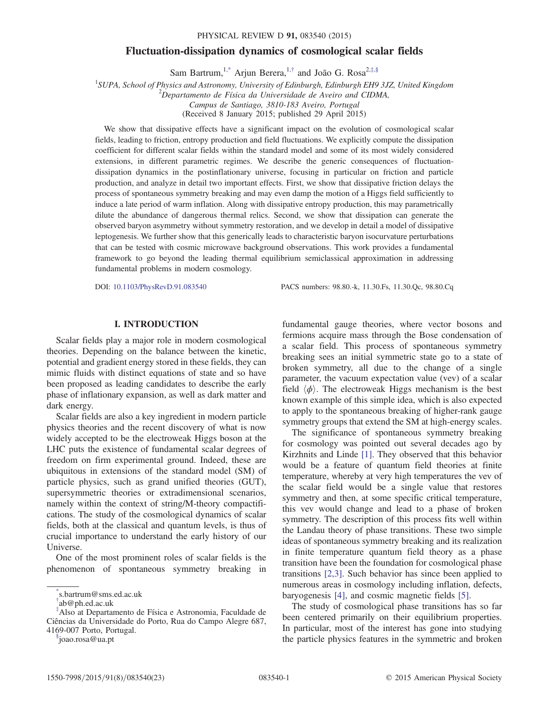#### Fluctuation-dissipation dynamics of cosmological scalar fields

Sam Bartrum,<sup>[1,\\*](#page-1-0)</sup> Arjun Berera,<sup>1,[†](#page-1-1)</sup> and João G. Rosa<sup>2,‡[,§](#page-1-2)</sup>

<span id="page-1-3"></span><sup>1</sup>SUPA, School of Physics and Astronomy, University of Edinburgh, Edinburgh EH9 3JZ, United Kingdom

 $^2$ Departamento de Física da Universidade de Aveiro and CIDMA,

Campus de Santiago, 3810-183 Aveiro, Portugal

(Received 8 January 2015; published 29 April 2015)

We show that dissipative effects have a significant impact on the evolution of cosmological scalar fields, leading to friction, entropy production and field fluctuations. We explicitly compute the dissipation coefficient for different scalar fields within the standard model and some of its most widely considered extensions, in different parametric regimes. We describe the generic consequences of fluctuationdissipation dynamics in the postinflationary universe, focusing in particular on friction and particle production, and analyze in detail two important effects. First, we show that dissipative friction delays the process of spontaneous symmetry breaking and may even damp the motion of a Higgs field sufficiently to induce a late period of warm inflation. Along with dissipative entropy production, this may parametrically dilute the abundance of dangerous thermal relics. Second, we show that dissipation can generate the observed baryon asymmetry without symmetry restoration, and we develop in detail a model of dissipative leptogenesis. We further show that this generically leads to characteristic baryon isocurvature perturbations that can be tested with cosmic microwave background observations. This work provides a fundamental framework to go beyond the leading thermal equilibrium semiclassical approximation in addressing fundamental problems in modern cosmology.

DOI: [10.1103/PhysRevD.91.083540](http://dx.doi.org/10.1103/PhysRevD.91.083540) PACS numbers: 98.80.-k, 11.30.Fs, 11.30.Qc, 98.80.Cq

#### I. INTRODUCTION

Scalar fields play a major role in modern cosmological theories. Depending on the balance between the kinetic, potential and gradient energy stored in these fields, they can mimic fluids with distinct equations of state and so have been proposed as leading candidates to describe the early phase of inflationary expansion, as well as dark matter and dark energy.

Scalar fields are also a key ingredient in modern particle physics theories and the recent discovery of what is now widely accepted to be the electroweak Higgs boson at the LHC puts the existence of fundamental scalar degrees of freedom on firm experimental ground. Indeed, these are ubiquitous in extensions of the standard model (SM) of particle physics, such as grand unified theories (GUT), supersymmetric theories or extradimensional scenarios, namely within the context of string/M-theory compactifications. The study of the cosmological dynamics of scalar fields, both at the classical and quantum levels, is thus of crucial importance to understand the early history of our Universe.

One of the most prominent roles of scalar fields is the phenomenon of spontaneous symmetry breaking in fundamental gauge theories, where vector bosons and fermions acquire mass through the Bose condensation of a scalar field. This process of spontaneous symmetry breaking sees an initial symmetric state go to a state of broken symmetry, all due to the change of a single parameter, the vacuum expectation value (vev) of a scalar field  $\langle \phi \rangle$ . The electroweak Higgs mechanism is the best known example of this simple idea, which is also expected to apply to the spontaneous breaking of higher-rank gauge symmetry groups that extend the SM at high-energy scales.

The significance of spontaneous symmetry breaking for cosmology was pointed out several decades ago by Kirzhnits and Linde [\[1\]](#page-22-0). They observed that this behavior would be a feature of quantum field theories at finite temperature, whereby at very high temperatures the vev of the scalar field would be a single value that restores symmetry and then, at some specific critical temperature, this vev would change and lead to a phase of broken symmetry. The description of this process fits well within the Landau theory of phase transitions. These two simple ideas of spontaneous symmetry breaking and its realization in finite temperature quantum field theory as a phase transition have been the foundation for cosmological phase transitions [\[2,3\].](#page-22-1) Such behavior has since been applied to numerous areas in cosmology including inflation, defects, baryogenesis [\[4\],](#page-22-2) and cosmic magnetic fields [\[5\]](#page-22-3).

The study of cosmological phase transitions has so far been centered primarily on their equilibrium properties. In particular, most of the interest has gone into studying the particle physics features in the symmetric and broken

<span id="page-1-0"></span>[<sup>\\*</sup>](#page-1-3) s.bartrum@sms.ed.ac.uk

<span id="page-1-1"></span>[<sup>†</sup>](#page-1-3) ab@ph.ed.ac.uk

<span id="page-1-2"></span>[<sup>‡</sup>](#page-1-3) Also at Departamento de Física e Astronomia, Faculdade de Ciências da Universidade do Porto, Rua do Campo Alegre 687, 4169-007 Porto, Portugal.

joao.rosa@ua.pt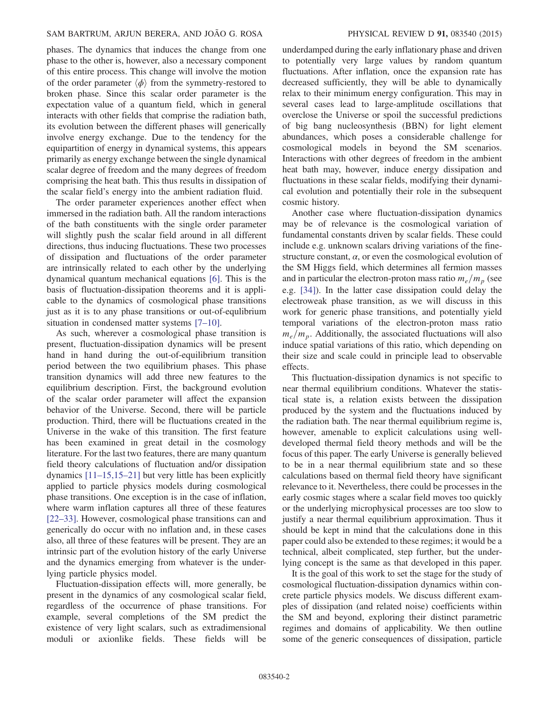phases. The dynamics that induces the change from one phase to the other is, however, also a necessary component of this entire process. This change will involve the motion of the order parameter  $\langle \phi \rangle$  from the symmetry-restored to broken phase. Since this scalar order parameter is the expectation value of a quantum field, which in general interacts with other fields that comprise the radiation bath, its evolution between the different phases will generically involve energy exchange. Due to the tendency for the equipartition of energy in dynamical systems, this appears primarily as energy exchange between the single dynamical scalar degree of freedom and the many degrees of freedom comprising the heat bath. This thus results in dissipation of the scalar field's energy into the ambient radiation fluid.

The order parameter experiences another effect when immersed in the radiation bath. All the random interactions of the bath constituents with the single order parameter will slightly push the scalar field around in all different directions, thus inducing fluctuations. These two processes of dissipation and fluctuations of the order parameter are intrinsically related to each other by the underlying dynamical quantum mechanical equations [\[6\]](#page-22-4). This is the basis of fluctuation-dissipation theorems and it is applicable to the dynamics of cosmological phase transitions just as it is to any phase transitions or out-of-equlibrium situation in condensed matter systems [7–[10\]](#page-22-5).

As such, wherever a cosmological phase transition is present, fluctuation-dissipation dynamics will be present hand in hand during the out-of-equilibrium transition period between the two equilibrium phases. This phase transition dynamics will add three new features to the equilibrium description. First, the background evolution of the scalar order parameter will affect the expansion behavior of the Universe. Second, there will be particle production. Third, there will be fluctuations created in the Universe in the wake of this transition. The first feature has been examined in great detail in the cosmology literature. For the last two features, there are many quantum field theory calculations of fluctuation and/or dissipation dynamics [11–[15,15](#page-22-6)–21] but very little has been explicitly applied to particle physics models during cosmological phase transitions. One exception is in the case of inflation, where warm inflation captures all three of these features [\[22](#page-22-7)–33]. However, cosmological phase transitions can and generically do occur with no inflation and, in these cases also, all three of these features will be present. They are an intrinsic part of the evolution history of the early Universe and the dynamics emerging from whatever is the underlying particle physics model.

Fluctuation-dissipation effects will, more generally, be present in the dynamics of any cosmological scalar field, regardless of the occurrence of phase transitions. For example, several completions of the SM predict the existence of very light scalars, such as extradimensional moduli or axionlike fields. These fields will be underdamped during the early inflationary phase and driven to potentially very large values by random quantum fluctuations. After inflation, once the expansion rate has decreased sufficiently, they will be able to dynamically relax to their minimum energy configuration. This may in several cases lead to large-amplitude oscillations that overclose the Universe or spoil the successful predictions of big bang nucleosynthesis (BBN) for light element abundances, which poses a considerable challenge for cosmological models in beyond the SM scenarios. Interactions with other degrees of freedom in the ambient heat bath may, however, induce energy dissipation and fluctuations in these scalar fields, modifying their dynamical evolution and potentially their role in the subsequent cosmic history.

Another case where fluctuation-dissipation dynamics may be of relevance is the cosmological variation of fundamental constants driven by scalar fields. These could include e.g. unknown scalars driving variations of the finestructure constant,  $\alpha$ , or even the cosmological evolution of the SM Higgs field, which determines all fermion masses and in particular the electron-proton mass ratio  $m_e/m_p$  (see e.g. [\[34\]](#page-22-8)). In the latter case dissipation could delay the electroweak phase transition, as we will discuss in this work for generic phase transitions, and potentially yield temporal variations of the electron-proton mass ratio  $m_e/m_p$ . Additionally, the associated fluctuations will also induce spatial variations of this ratio, which depending on their size and scale could in principle lead to observable effects.

This fluctuation-dissipation dynamics is not specific to near thermal equilibrium conditions. Whatever the statistical state is, a relation exists between the dissipation produced by the system and the fluctuations induced by the radiation bath. The near thermal equilibrium regime is, however, amenable to explicit calculations using welldeveloped thermal field theory methods and will be the focus of this paper. The early Universe is generally believed to be in a near thermal equilibrium state and so these calculations based on thermal field theory have significant relevance to it. Nevertheless, there could be processes in the early cosmic stages where a scalar field moves too quickly or the underlying microphysical processes are too slow to justify a near thermal equilibrium approximation. Thus it should be kept in mind that the calculations done in this paper could also be extended to these regimes; it would be a technical, albeit complicated, step further, but the underlying concept is the same as that developed in this paper.

It is the goal of this work to set the stage for the study of cosmological fluctuation-dissipation dynamics within concrete particle physics models. We discuss different examples of dissipation (and related noise) coefficients within the SM and beyond, exploring their distinct parametric regimes and domains of applicability. We then outline some of the generic consequences of dissipation, particle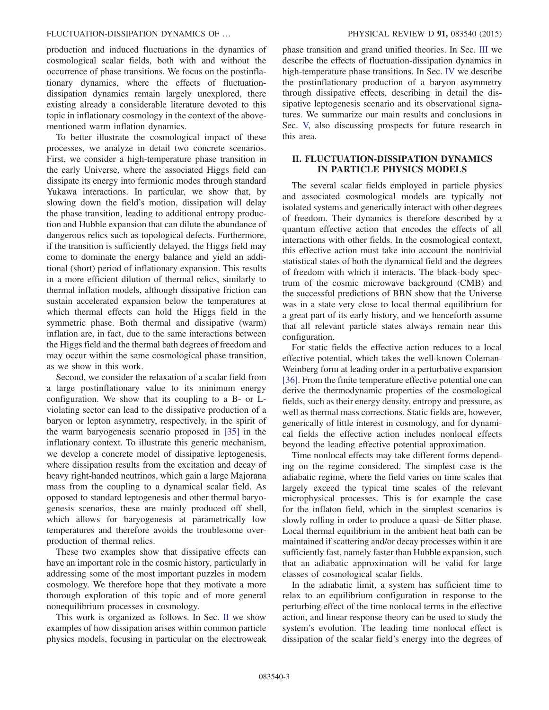production and induced fluctuations in the dynamics of cosmological scalar fields, both with and without the occurrence of phase transitions. We focus on the postinflationary dynamics, where the effects of fluctuationdissipation dynamics remain largely unexplored, there existing already a considerable literature devoted to this topic in inflationary cosmology in the context of the abovementioned warm inflation dynamics.

To better illustrate the cosmological impact of these processes, we analyze in detail two concrete scenarios. First, we consider a high-temperature phase transition in the early Universe, where the associated Higgs field can dissipate its energy into fermionic modes through standard Yukawa interactions. In particular, we show that, by slowing down the field's motion, dissipation will delay the phase transition, leading to additional entropy production and Hubble expansion that can dilute the abundance of dangerous relics such as topological defects. Furthermore, if the transition is sufficiently delayed, the Higgs field may come to dominate the energy balance and yield an additional (short) period of inflationary expansion. This results in a more efficient dilution of thermal relics, similarly to thermal inflation models, although dissipative friction can sustain accelerated expansion below the temperatures at which thermal effects can hold the Higgs field in the symmetric phase. Both thermal and dissipative (warm) inflation are, in fact, due to the same interactions between the Higgs field and the thermal bath degrees of freedom and may occur within the same cosmological phase transition, as we show in this work.

Second, we consider the relaxation of a scalar field from a large postinflationary value to its minimum energy configuration. We show that its coupling to a B- or Lviolating sector can lead to the dissipative production of a baryon or lepton asymmetry, respectively, in the spirit of the warm baryogenesis scenario proposed in [\[35\]](#page-22-9) in the inflationary context. To illustrate this generic mechanism, we develop a concrete model of dissipative leptogenesis, where dissipation results from the excitation and decay of heavy right-handed neutrinos, which gain a large Majorana mass from the coupling to a dynamical scalar field. As opposed to standard leptogenesis and other thermal baryogenesis scenarios, these are mainly produced off shell, which allows for baryogenesis at parametrically low temperatures and therefore avoids the troublesome overproduction of thermal relics.

These two examples show that dissipative effects can have an important role in the cosmic history, particularly in addressing some of the most important puzzles in modern cosmology. We therefore hope that they motivate a more thorough exploration of this topic and of more general nonequilibrium processes in cosmology.

This work is organized as follows. In Sec. [II](#page-3-0) we show examples of how dissipation arises within common particle physics models, focusing in particular on the electroweak phase transition and grand unified theories. In Sec. [III](#page-8-0) we describe the effects of fluctuation-dissipation dynamics in high-temperature phase transitions. In Sec. [IV](#page-13-0) we describe the postinflationary production of a baryon asymmetry through dissipative effects, describing in detail the dissipative leptogenesis scenario and its observational signatures. We summarize our main results and conclusions in Sec. [V,](#page-19-0) also discussing prospects for future research in this area.

# <span id="page-3-0"></span>II. FLUCTUATION-DISSIPATION DYNAMICS IN PARTICLE PHYSICS MODELS

The several scalar fields employed in particle physics and associated cosmological models are typically not isolated systems and generically interact with other degrees of freedom. Their dynamics is therefore described by a quantum effective action that encodes the effects of all interactions with other fields. In the cosmological context, this effective action must take into account the nontrivial statistical states of both the dynamical field and the degrees of freedom with which it interacts. The black-body spectrum of the cosmic microwave background (CMB) and the successful predictions of BBN show that the Universe was in a state very close to local thermal equilibrium for a great part of its early history, and we henceforth assume that all relevant particle states always remain near this configuration.

For static fields the effective action reduces to a local effective potential, which takes the well-known Coleman-Weinberg form at leading order in a perturbative expansion [\[36\]](#page-22-10). From the finite temperature effective potential one can derive the thermodynamic properties of the cosmological fields, such as their energy density, entropy and pressure, as well as thermal mass corrections. Static fields are, however, generically of little interest in cosmology, and for dynamical fields the effective action includes nonlocal effects beyond the leading effective potential approximation.

Time nonlocal effects may take different forms depending on the regime considered. The simplest case is the adiabatic regime, where the field varies on time scales that largely exceed the typical time scales of the relevant microphysical processes. This is for example the case for the inflaton field, which in the simplest scenarios is slowly rolling in order to produce a quasi–de Sitter phase. Local thermal equilibrium in the ambient heat bath can be maintained if scattering and/or decay processes within it are sufficiently fast, namely faster than Hubble expansion, such that an adiabatic approximation will be valid for large classes of cosmological scalar fields.

In the adiabatic limit, a system has sufficient time to relax to an equilibrium configuration in response to the perturbing effect of the time nonlocal terms in the effective action, and linear response theory can be used to study the system's evolution. The leading time nonlocal effect is dissipation of the scalar field's energy into the degrees of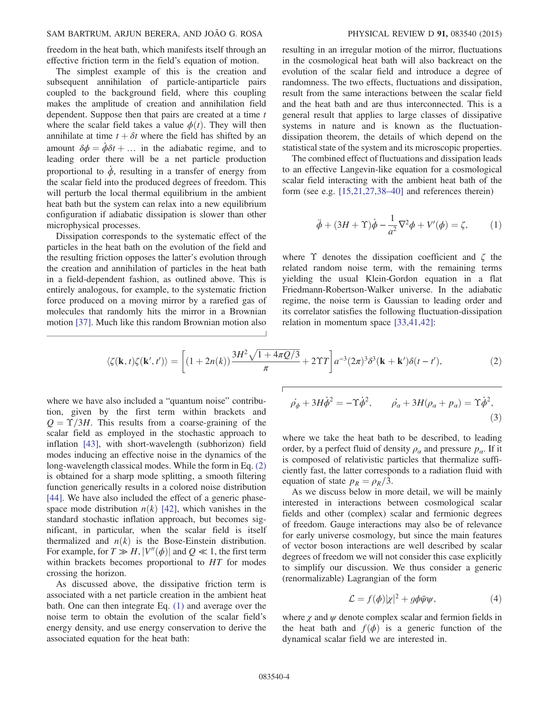freedom in the heat bath, which manifests itself through an effective friction term in the field's equation of motion.

The simplest example of this is the creation and subsequent annihilation of particle-antiparticle pairs coupled to the background field, where this coupling makes the amplitude of creation and annihilation field dependent. Suppose then that pairs are created at a time t where the scalar field takes a value  $\phi(t)$ . They will then annihilate at time  $t + \delta t$  where the field has shifted by an amount  $\delta\phi = \dot{\phi}\delta t + ...$  in the adiabatic regime, and to leading order there will be a net particle production proportional to  $\dot{\phi}$ , resulting in a transfer of energy from the scalar field into the produced degrees of freedom. This will perturb the local thermal equilibrium in the ambient heat bath but the system can relax into a new equilibrium configuration if adiabatic dissipation is slower than other microphysical processes.

Dissipation corresponds to the systematic effect of the particles in the heat bath on the evolution of the field and the resulting friction opposes the latter's evolution through the creation and annihilation of particles in the heat bath in a field-dependent fashion, as outlined above. This is entirely analogous, for example, to the systematic friction force produced on a moving mirror by a rarefied gas of molecules that randomly hits the mirror in a Brownian motion [\[37\].](#page-22-11) Much like this random Brownian motion also resulting in an irregular motion of the mirror, fluctuations in the cosmological heat bath will also backreact on the evolution of the scalar field and introduce a degree of randomness. The two effects, fluctuations and dissipation, result from the same interactions between the scalar field and the heat bath and are thus interconnected. This is a general result that applies to large classes of dissipative systems in nature and is known as the fluctuationdissipation theorem, the details of which depend on the statistical state of the system and its microscopic properties.

<span id="page-4-1"></span>The combined effect of fluctuations and dissipation leads to an effective Langevin-like equation for a cosmological scalar field interacting with the ambient heat bath of the form (see e.g. [\[15,21,27,38](#page-22-12)–40] and references therein)

$$
\ddot{\phi} + (3H + \Upsilon)\dot{\phi} - \frac{1}{a^2}\nabla^2\phi + V'(\phi) = \zeta, \qquad (1)
$$

where  $\Upsilon$  denotes the dissipation coefficient and  $\zeta$  the related random noise term, with the remaining terms yielding the usual Klein-Gordon equation in a flat Friedmann-Robertson-Walker universe. In the adiabatic regime, the noise term is Gaussian to leading order and its correlator satisfies the following fluctuation-dissipation relation in momentum space [\[33,41,42\]](#page-22-13):

<span id="page-4-0"></span>
$$
\langle \zeta(\mathbf{k},t)\zeta(\mathbf{k}',t')\rangle = \left[ (1+2n(k))\frac{3H^2\sqrt{1+4\pi Q/3}}{\pi} + 2\Upsilon T \right] a^{-3}(2\pi)^3 \delta^3(\mathbf{k}+\mathbf{k}')\delta(t-t'),\tag{2}
$$

where we have also included a "quantum noise" contribution, given by the first term within brackets and  $Q = \Upsilon/3H$ . This results from a coarse-graining of the scalar field as employed in the stochastic approach to inflation [\[43\],](#page-22-14) with short-wavelength (subhorizon) field modes inducing an effective noise in the dynamics of the long-wavelength classical modes. While the form in Eq. [\(2\)](#page-4-0) is obtained for a sharp mode splitting, a smooth filtering function generically results in a colored noise distribution [\[44\]](#page-22-15). We have also included the effect of a generic phasespace mode distribution  $n(k)$  [\[42\]](#page-22-16), which vanishes in the standard stochastic inflation approach, but becomes significant, in particular, when the scalar field is itself thermalized and  $n(k)$  is the Bose-Einstein distribution. For example, for  $T \gg H$ ,  $|V''(\phi)|$  and  $Q \ll 1$ , the first term within brackets becomes proportional to HT for modes crossing the horizon.

As discussed above, the dissipative friction term is associated with a net particle creation in the ambient heat bath. One can then integrate Eq. [\(1\)](#page-4-1) and average over the noise term to obtain the evolution of the scalar field's energy density, and use energy conservation to derive the associated equation for the heat bath:

$$
\dot{\rho_{\phi}} + 3H\dot{\phi}^2 = -\Upsilon\dot{\phi}^2, \qquad \dot{\rho_{\alpha}} + 3H(\rho_{\alpha} + p_{\alpha}) = \Upsilon\dot{\phi}^2,
$$
\n(3)

where we take the heat bath to be described, to leading order, by a perfect fluid of density  $\rho_{\alpha}$  and pressure  $p_{\alpha}$ . If it is composed of relativistic particles that thermalize sufficiently fast, the latter corresponds to a radiation fluid with equation of state  $p_R = \rho_R/3$ .

As we discuss below in more detail, we will be mainly interested in interactions between cosmological scalar fields and other (complex) scalar and fermionic degrees of freedom. Gauge interactions may also be of relevance for early universe cosmology, but since the main features of vector boson interactions are well described by scalar degrees of freedom we will not consider this case explicitly to simplify our discussion. We thus consider a generic (renormalizable) Lagrangian of the form

$$
\mathcal{L} = f(\phi)|\chi|^2 + g\phi\bar{\psi}\psi,\tag{4}
$$

<span id="page-4-2"></span>where  $\chi$  and  $\psi$  denote complex scalar and fermion fields in the heat bath and  $f$  $(\phi)$  is a generic function of the dynamical scalar field we are interested in.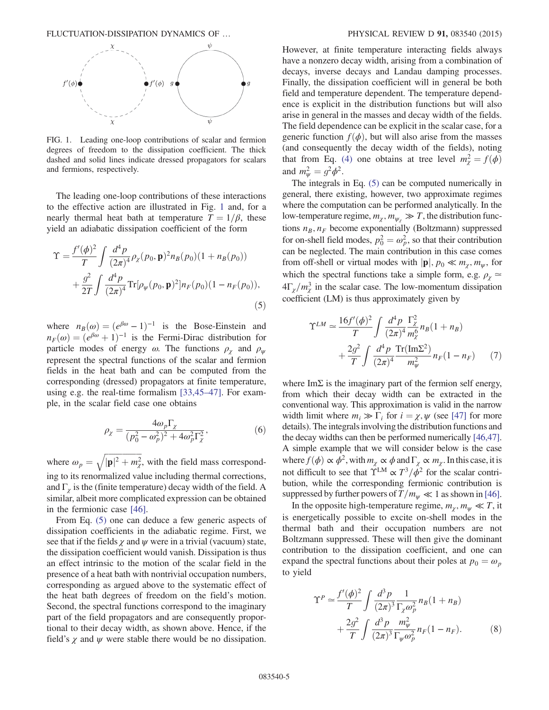<span id="page-5-0"></span>

FIG. 1. Leading one-loop contributions of scalar and fermion degrees of freedom to the dissipation coefficient. The thick dashed and solid lines indicate dressed propagators for scalars and fermions, respectively.

The leading one-loop contributions of these interactions to the effective action are illustrated in Fig. [1](#page-5-0) and, for a nearly thermal heat bath at temperature  $T = 1/\beta$ , these yield an adiabatic dissipation coefficient of the form

<span id="page-5-1"></span>
$$
\Upsilon = \frac{f'(\phi)^2}{T} \int \frac{d^4 p}{(2\pi)^4} \rho_\chi(p_0, \mathbf{p})^2 n_B(p_0) (1 + n_B(p_0)) \n+ \frac{g^2}{2T} \int \frac{d^4 p}{(2\pi)^4} \text{Tr}[\rho_\psi(p_0, \mathbf{p})^2] n_F(p_0) (1 - n_F(p_0)),
$$
\n(5)

where  $n_B(\omega) = (e^{\beta \omega} - 1)^{-1}$  is the Bose-Einstein and  $n_F(\omega) = (e^{\beta \omega} + 1)^{-1}$  is the Fermi-Dirac distribution for particle modes of energy  $\omega$ . The functions  $\rho_{\chi}$  and  $\rho_{\psi}$ represent the spectral functions of the scalar and fermion fields in the heat bath and can be computed from the corresponding (dressed) propagators at finite temperature, using e.g. the real-time formalism [\[33,45](#page-22-13)–47]. For example, in the scalar field case one obtains

$$
\rho_{\chi} = \frac{4\omega_p \Gamma_{\chi}}{(p_0^2 - \omega_p^2)^2 + 4\omega_p^2 \Gamma_{\chi}^2},\tag{6}
$$

where  $\omega_p = \sqrt{|\mathbf{p}|^2 + m_\chi^2}$ , with the field mass corresponding to its renormalized value including thermal corrections, and  $\Gamma_{\chi}$  is the (finite temperature) decay width of the field. A similar, albeit more complicated expression can be obtained in the fermionic case [\[46\].](#page-22-17)

From Eq. [\(5\)](#page-5-1) one can deduce a few generic aspects of dissipation coefficients in the adiabatic regime. First, we see that if the fields  $\gamma$  and  $\psi$  were in a trivial (vacuum) state, the dissipation coefficient would vanish. Dissipation is thus an effect intrinsic to the motion of the scalar field in the presence of a heat bath with nontrivial occupation numbers, corresponding as argued above to the systematic effect of the heat bath degrees of freedom on the field's motion. Second, the spectral functions correspond to the imaginary part of the field propagators and are consequently proportional to their decay width, as shown above. Hence, if the field's  $\chi$  and  $\psi$  were stable there would be no dissipation. However, at finite temperature interacting fields always have a nonzero decay width, arising from a combination of decays, inverse decays and Landau damping processes. Finally, the dissipation coefficient will in general be both field and temperature dependent. The temperature dependence is explicit in the distribution functions but will also arise in general in the masses and decay width of the fields. The field dependence can be explicit in the scalar case, for a generic function  $f$  $(\phi)$ , but will also arise from the masses (and consequently the decay width of the fields), noting that from Eq. [\(4\)](#page-4-2) one obtains at tree level  $m_{\chi}^2 = f(\phi)$ and  $m_{\psi}^2 = g^2 \phi^2$ .

The integrals in Eq. [\(5\)](#page-5-1) can be computed numerically in general, there existing, however, two approximate regimes where the computation can be performed analytically. In the low-temperature regime,  $m_{\chi}, m_{\psi_{\chi}} \gg T$ , the distribution functions  $n_B$ ,  $n_F$  become exponentially (Boltzmann) suppressed for on-shell field modes,  $p_0^2 = \omega_p^2$ , so that their contribution can be neglected. The main contribution in this case comes from off-shell or virtual modes with  $|\mathbf{p}|, p_0 \ll m_\gamma, m_\psi$ , for which the spectral functions take a simple form, e.g.  $\rho_{\chi} \simeq$  $4\Gamma_\chi/m_\chi^3$  in the scalar case. The low-momentum dissipation coefficient (LM) is thus approximately given by

<span id="page-5-3"></span>
$$
\Upsilon^{LM} \simeq \frac{16f'(\phi)^2}{T} \int \frac{d^4 p}{(2\pi)^4} \frac{\Gamma_\chi^2}{m_\chi^6} n_B (1 + n_B) + \frac{2g^2}{T} \int \frac{d^4 p}{(2\pi)^4} \frac{\text{Tr}(\text{Im}\Sigma^2)}{m_\psi^2} n_F (1 - n_F) \tag{7}
$$

where  $Im\Sigma$  is the imaginary part of the fermion self energy, from which their decay width can be extracted in the conventional way. This approximation is valid in the narrow width limit where  $m_i \gg \Gamma_i$  for  $i = \chi, \psi$  (see [\[47\]](#page-22-18) for more details). The integrals involving the distribution functions and the decay widths can then be performed numerically [\[46,47\]](#page-22-17). A simple example that we will consider below is the case where  $f(\phi) \propto \phi^2$ , with  $m_\chi \propto \phi$  and  $\Gamma_\chi \propto m_\chi$ . In this case, it is not difficult to see that  $\Upsilon^{\text{LM}} \propto T^3/\phi^2$  for the scalar contribution, while the corresponding fermionic contribution is suppressed by further powers of  $T/m_w \ll 1$  as shown in [\[46\]](#page-22-17).

In the opposite high-temperature regime,  $m_{\chi}, m_{\psi} \ll T$ , it is energetically possible to excite on-shell modes in the thermal bath and their occupation numbers are not Boltzmann suppressed. These will then give the dominant contribution to the dissipation coefficient, and one can expand the spectral functions about their poles at  $p_0 = \omega_p$ to yield

<span id="page-5-2"></span>
$$
\Upsilon^P \simeq \frac{f'(\phi)^2}{T} \int \frac{d^3 p}{(2\pi)^3} \frac{1}{\Gamma_\chi \omega_p^2} n_B (1 + n_B)
$$

$$
+ \frac{2g^2}{T} \int \frac{d^3 p}{(2\pi)^3} \frac{m_\psi^2}{\Gamma_\psi \omega_p^2} n_F (1 - n_F). \tag{8}
$$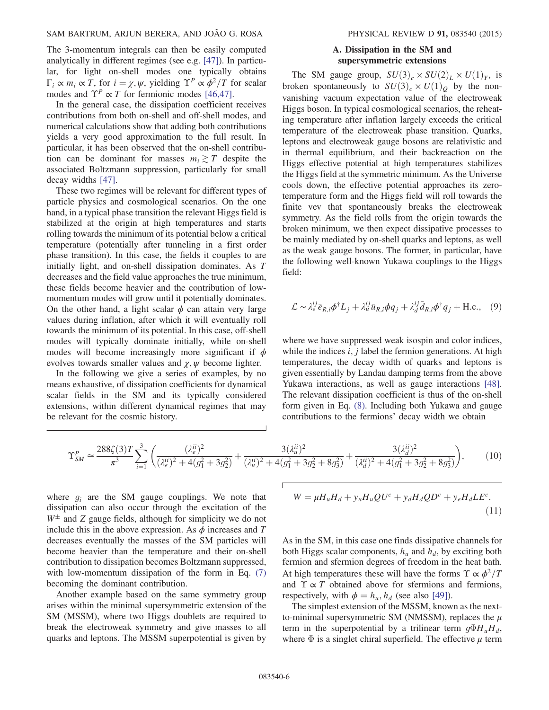The 3-momentum integrals can then be easily computed analytically in different regimes (see e.g. [\[47\]](#page-22-18)). In particular, for light on-shell modes one typically obtains  $\Gamma_i \propto m_i \propto T$ , for  $i = \chi, \psi$ , yielding  $\Upsilon^P \propto \phi^2/T$  for scalar modes and  $\Upsilon^P \propto T$  for fermionic modes [\[46,47\].](#page-22-17)

In the general case, the dissipation coefficient receives contributions from both on-shell and off-shell modes, and numerical calculations show that adding both contributions yields a very good approximation to the full result. In particular, it has been observed that the on-shell contribution can be dominant for masses  $m_i \gtrsim T$  despite the associated Boltzmann suppression, particularly for small decay widths [\[47\].](#page-22-18)

These two regimes will be relevant for different types of particle physics and cosmological scenarios. On the one hand, in a typical phase transition the relevant Higgs field is stabilized at the origin at high temperatures and starts rolling towards the minimum of its potential below a critical temperature (potentially after tunneling in a first order phase transition). In this case, the fields it couples to are initially light, and on-shell dissipation dominates. As T decreases and the field value approaches the true minimum, these fields become heavier and the contribution of lowmomentum modes will grow until it potentially dominates. On the other hand, a light scalar  $\phi$  can attain very large values during inflation, after which it will eventually roll towards the minimum of its potential. In this case, off-shell modes will typically dominate initially, while on-shell modes will become increasingly more significant if  $\phi$ evolves towards smaller values and  $\chi, \psi$  become lighter.

In the following we give a series of examples, by no means exhaustive, of dissipation coefficients for dynamical scalar fields in the SM and its typically considered extensions, within different dynamical regimes that may be relevant for the cosmic history.

#### A. Dissipation in the SM and supersymmetric extensions

The SM gauge group,  $SU(3)_c \times SU(2)_L \times U(1)_Y$ , is broken spontaneously to  $SU(3)_c \times U(1)_0$  by the nonvanishing vacuum expectation value of the electroweak Higgs boson. In typical cosmological scenarios, the reheating temperature after inflation largely exceeds the critical temperature of the electroweak phase transition. Quarks, leptons and electroweak gauge bosons are relativistic and in thermal equilibrium, and their backreaction on the Higgs effective potential at high temperatures stabilizes the Higgs field at the symmetric minimum. As the Universe cools down, the effective potential approaches its zerotemperature form and the Higgs field will roll towards the finite vev that spontaneously breaks the electroweak symmetry. As the field rolls from the origin towards the broken minimum, we then expect dissipative processes to be mainly mediated by on-shell quarks and leptons, as well as the weak gauge bosons. The former, in particular, have the following well-known Yukawa couplings to the Higgs field:

$$
\mathcal{L} \sim \lambda_e^{ij} \bar{e}_{R,i} \phi^\dagger L_j + \lambda_u^{ij} \bar{u}_{R,i} \phi q_j + \lambda_d^{ij} \bar{d}_{R,i} \phi^\dagger q_j + \text{H.c.,} \quad (9)
$$

where we have suppressed weak isospin and color indices, while the indices  $i$ ,  $j$  label the fermion generations. At high temperatures, the decay width of quarks and leptons is given essentially by Landau damping terms from the above Yukawa interactions, as well as gauge interactions [\[48\]](#page-22-19). The relevant dissipation coefficient is thus of the on-shell form given in Eq. [\(8\).](#page-5-2) Including both Yukawa and gauge contributions to the fermions' decay width we obtain

<span id="page-6-0"></span>
$$
\Upsilon_{SM}^P \simeq \frac{288\zeta(3)T}{\pi^3} \sum_{i=1}^3 \left( \frac{(\lambda_e^{ii})^2}{(\lambda_e^{ii})^2 + 4(g_1^2 + 3g_2^2)} + \frac{3(\lambda_u^{ii})^2}{(\lambda_u^{ii})^2 + 4(g_1^2 + 3g_2^2 + 8g_3^2)} + \frac{3(\lambda_u^{ii})^2}{(\lambda_d^{ii})^2 + 4(g_1^2 + 3g_2^2 + 8g_3^2)} \right),\tag{10}
$$

where  $g_i$  are the SM gauge couplings. We note that dissipation can also occur through the excitation of the  $W^{\pm}$  and Z gauge fields, although for simplicity we do not include this in the above expression. As  $\phi$  increases and T decreases eventually the masses of the SM particles will become heavier than the temperature and their on-shell contribution to dissipation becomes Boltzmann suppressed, with low-momentum dissipation of the form in Eq. [\(7\)](#page-5-3) becoming the dominant contribution.

Another example based on the same symmetry group arises within the minimal supersymmetric extension of the SM (MSSM), where two Higgs doublets are required to break the electroweak symmetry and give masses to all quarks and leptons. The MSSM superpotential is given by

$$
W = \mu H_u H_d + y_u H_u Q U^c + y_d H_d Q D^c + y_e H_d L E^c.
$$
\n(11)

As in the SM, in this case one finds dissipative channels for both Higgs scalar components,  $h_u$  and  $h_d$ , by exciting both fermion and sfermion degrees of freedom in the heat bath. At high temperatures these will have the forms  $\Upsilon \propto \phi^2/T$ and  $\Upsilon \propto T$  obtained above for sfermions and fermions, respectively, with  $\phi = h_{\mu}$ ,  $h_{d}$  (see also [\[49\]](#page-22-20)).

The simplest extension of the MSSM, known as the nextto-minimal supersymmetric SM (NMSSM), replaces the  $\mu$ term in the superpotential by a trilinear term  $q\Phi H_u H_d$ , where  $\Phi$  is a singlet chiral superfield. The effective  $\mu$  term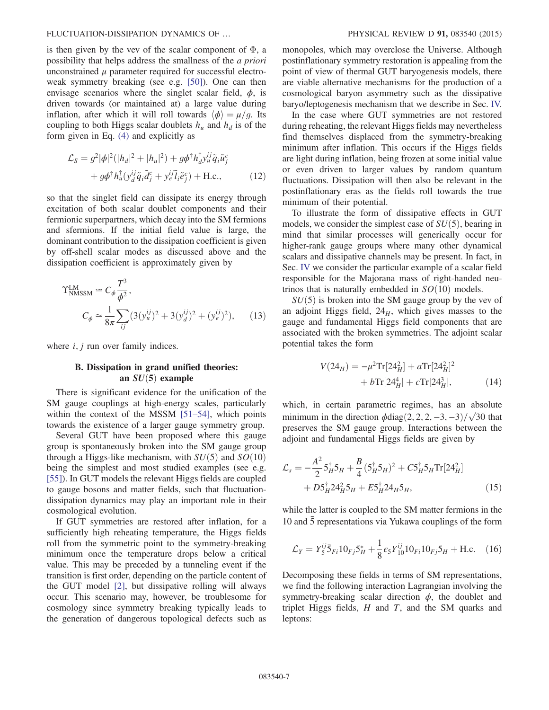is then given by the vev of the scalar component of  $\Phi$ , a possibility that helps address the smallness of the a priori unconstrained  $\mu$  parameter required for successful electroweak symmetry breaking (see e.g. [\[50\]](#page-22-21)). One can then envisage scenarios where the singlet scalar field,  $\phi$ , is driven towards (or maintained at) a large value during inflation, after which it will roll towards  $\langle \phi \rangle = \mu / g$ . Its coupling to both Higgs scalar doublets  $h_u$  and  $h_d$  is of the form given in Eq. [\(4\)](#page-4-2) and explicitly as

$$
\mathcal{L}_S = g^2 |\phi|^2 (|h_d|^2 + |h_u|^2) + g \phi^\dagger h_d^\dagger y_u^{ij} \tilde{q}_i \tilde{u}_j^c + g \phi^\dagger h_u^\dagger (y_d^{ij} \tilde{q}_i \tilde{d}_j^c + y_e^{ij} \tilde{l}_i \tilde{e}_j^c) + \text{H.c.},
$$
(12)

so that the singlet field can dissipate its energy through excitation of both scalar doublet components and their fermionic superpartners, which decay into the SM fermions and sfermions. If the initial field value is large, the dominant contribution to the dissipation coefficient is given by off-shell scalar modes as discussed above and the dissipation coefficient is approximately given by

$$
\Upsilon_{\text{NMSSM}}^{\text{LM}} \simeq C_{\phi} \frac{T^3}{\phi^2},
$$
  
\n
$$
C_{\phi} \simeq \frac{1}{8\pi} \sum_{ij} (3(y_u^{ij})^2 + 3(y_d^{ij})^2 + (y_e^{ij})^2),
$$
 (13)

where  $i$ ,  $j$  run over family indices.

# B. Dissipation in grand unified theories: an  $SU(5)$  example

There is significant evidence for the unification of the SM gauge couplings at high-energy scales, particularly within the context of the MSSM [\[51](#page-22-22)–54], which points towards the existence of a larger gauge symmetry group.

Several GUT have been proposed where this gauge group is spontaneously broken into the SM gauge group through a Higgs-like mechanism, with  $SU(5)$  and  $SO(10)$ being the simplest and most studied examples (see e.g. [\[55\]](#page-22-23)). In GUT models the relevant Higgs fields are coupled to gauge bosons and matter fields, such that fluctuationdissipation dynamics may play an important role in their cosmological evolution.

If GUT symmetries are restored after inflation, for a sufficiently high reheating temperature, the Higgs fields roll from the symmetric point to the symmetry-breaking minimum once the temperature drops below a critical value. This may be preceded by a tunneling event if the transition is first order, depending on the particle content of the GUT model [\[2\]](#page-22-1), but dissipative rolling will always occur. This scenario may, however, be troublesome for cosmology since symmetry breaking typically leads to the generation of dangerous topological defects such as

monopoles, which may overclose the Universe. Although postinflationary symmetry restoration is appealing from the point of view of thermal GUT baryogenesis models, there are viable alternative mechanisms for the production of a cosmological baryon asymmetry such as the dissipative baryo/leptogenesis mechanism that we describe in Sec. [IV.](#page-13-0)

In the case where GUT symmetries are not restored during reheating, the relevant Higgs fields may nevertheless find themselves displaced from the symmetry-breaking minimum after inflation. This occurs if the Higgs fields are light during inflation, being frozen at some initial value or even driven to larger values by random quantum fluctuations. Dissipation will then also be relevant in the postinflationary eras as the fields roll towards the true minimum of their potential.

To illustrate the form of dissipative effects in GUT models, we consider the simplest case of  $SU(5)$ , bearing in mind that similar processes will generically occur for higher-rank gauge groups where many other dynamical scalars and dissipative channels may be present. In fact, in Sec. [IV](#page-13-0) we consider the particular example of a scalar field responsible for the Majorana mass of right-handed neutrinos that is naturally embedded in  $SO(10)$  models.

 $SU(5)$  is broken into the SM gauge group by the vev of an adjoint Higgs field,  $24<sub>H</sub>$ , which gives masses to the gauge and fundamental Higgs field components that are associated with the broken symmetries. The adjoint scalar potential takes the form

$$
V(24_H) = -\mu^2 \text{Tr}[24_H^2] + a \text{Tr}[24_H^2]^2
$$

$$
+ b \text{Tr}[24_H^4] + c \text{Tr}[24_H^3], \tag{14}
$$

which, in certain parametric regimes, has an absolute minimum in the direction  $\phi$ diag $(2, 2, 2, -3, -3)/\sqrt{30}$  that preserves the SM gauge group. Interactions between the adjoint and fundamental Higgs fields are given by

$$
\mathcal{L}_{s} = -\frac{A^{2}}{2} 5_{H}^{\dagger} 5_{H} + \frac{B}{4} (5_{H}^{\dagger} 5_{H})^{2} + C 5_{H}^{\dagger} 5_{H} \text{Tr}[24_{H}^{2}] + D 5_{H}^{\dagger} 24_{H}^{2} 5_{H} + E 5_{H}^{\dagger} 24_{H} 5_{H},
$$
\n(15)

while the latter is coupled to the SM matter fermions in the 10 and  $\bar{5}$  representations via Yukawa couplings of the form

$$
\mathcal{L}_Y = Y_5^{ij} \bar{5}_{Fi} 10_{Fj} 5_H^* + \frac{1}{8} \epsilon_5 Y_{10}^{ij} 10_{Fi} 10_{Fj} 5_H + \text{H.c.} \quad (16)
$$

Decomposing these fields in terms of SM representations, we find the following interaction Lagrangian involving the symmetry-breaking scalar direction  $\phi$ , the doublet and triplet Higgs fields,  $H$  and  $T$ , and the SM quarks and leptons: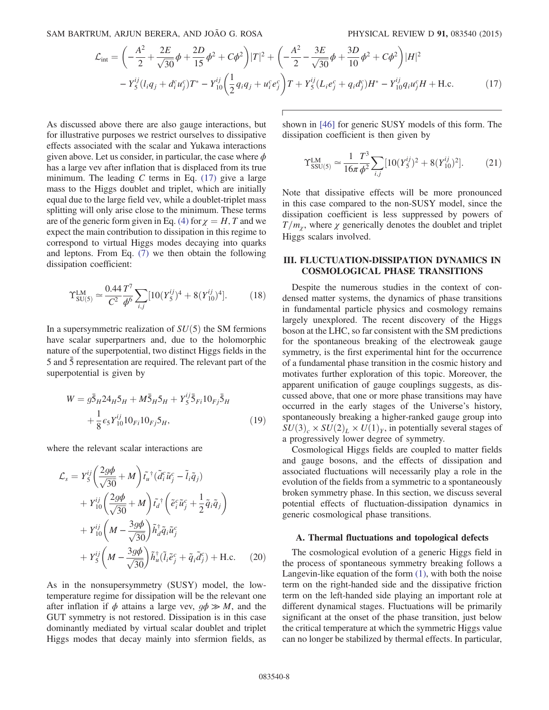<span id="page-8-1"></span>SAM BARTRUM, ARJUN BERERA, AND JOÃO G. ROSA PHYSICAL REVIEW D 91, 083540 (2015)

$$
\mathcal{L}_{int} = \left( -\frac{A^2}{2} + \frac{2E}{\sqrt{30}} \phi + \frac{2D}{15} \phi^2 + C\phi^2 \right) |T|^2 + \left( -\frac{A^2}{2} - \frac{3E}{\sqrt{30}} \phi + \frac{3D}{10} \phi^2 + C\phi^2 \right) |H|^2
$$
  
- 
$$
Y_5^{ij} (l_i q_j + d_i^c u_j^c) T^* - Y_{10}^{ij} \left( \frac{1}{2} q_i q_j + u_i^c e_j^c \right) T + Y_5^{ij} (L_i e_j^c + q_i d_j^c) H^* - Y_{10}^{ij} q_i u_j^c H + \text{H.c.}
$$
 (17)

As discussed above there are also gauge interactions, but for illustrative purposes we restrict ourselves to dissipative effects associated with the scalar and Yukawa interactions given above. Let us consider, in particular, the case where  $\phi$ has a large vev after inflation that is displaced from its true minimum. The leading  $C$  terms in Eq. [\(17\)](#page-8-1) give a large mass to the Higgs doublet and triplet, which are initially equal due to the large field vev, while a doublet-triplet mass splitting will only arise close to the minimum. These terms are of the generic form given in Eq. [\(4\)](#page-4-2) for  $\chi = H$ , T and we expect the main contribution to dissipation in this regime to correspond to virtual Higgs modes decaying into quarks and leptons. From Eq. [\(7\)](#page-5-3) we then obtain the following dissipation coefficient:

$$
\Upsilon_{\text{SU}(5)}^{\text{LM}} \simeq \frac{0.44 \, T^7}{C^2} \sum_{i,j} [10(Y_5^{ij})^4 + 8(Y_{10}^{ij})^4]. \tag{18}
$$

In a supersymmetric realization of  $SU(5)$  the SM fermions have scalar superpartners and, due to the holomorphic nature of the superpotential, two distinct Higgs fields in the  $5$  and  $\bar{5}$  representation are required. The relevant part of the superpotential is given by

$$
W = g\bar{5}_H 24_H 5_H + M\bar{5}_H 5_H + Y_5^{ij}\bar{5}_{Fi} 10_{Fj}\bar{5}_H
$$
  
 
$$
+ \frac{1}{8}\epsilon_5 Y_{10}^{ij} 10_{Fi} 10_{Fj} 5_H,
$$
 (19)

where the relevant scalar interactions are

$$
\mathcal{L}_{s} = Y_{5}^{ij} \left( \frac{2g\phi}{\sqrt{30}} + M \right) \tilde{t}_{u}^{\dagger} (\tilde{d}_{i}^{c} \tilde{u}_{j}^{c} - \tilde{l}_{i} \tilde{q}_{j}) \n+ Y_{10}^{ij} \left( \frac{2g\phi}{\sqrt{30}} + M \right) \tilde{t}_{d}^{\dagger} \left( \tilde{e}_{i}^{c} \tilde{u}_{j}^{c} + \frac{1}{2} \tilde{q}_{i} \tilde{q}_{j} \right) \n+ Y_{10}^{ij} \left( M - \frac{3g\phi}{\sqrt{30}} \right) \tilde{h}_{d}^{\dagger} \tilde{q}_{i} \tilde{u}_{j}^{c} \n+ Y_{5}^{ij} \left( M - \frac{3g\phi}{\sqrt{30}} \right) \tilde{h}_{u}^{\dagger} (\tilde{l}_{i} \tilde{e}_{j}^{c} + \tilde{q}_{i} \tilde{d}_{j}^{c}) + \text{H.c.}
$$
\n(20)

As in the nonsupersymmetry (SUSY) model, the lowtemperature regime for dissipation will be the relevant one after inflation if  $\phi$  attains a large vev,  $g\phi \gg M$ , and the GUT symmetry is not restored. Dissipation is in this case dominantly mediated by virtual scalar doublet and triplet Higgs modes that decay mainly into sfermion fields, as shown in [\[46\]](#page-22-17) for generic SUSY models of this form. The dissipation coefficient is then given by

$$
\Upsilon_{\text{SSU}(5)}^{\text{LM}} \simeq \frac{1}{16\pi} \frac{T^3}{\phi^2} \sum_{i,j} [10(Y_5^{ij})^2 + 8(Y_{10}^{ij})^2]. \tag{21}
$$

Note that dissipative effects will be more pronounced in this case compared to the non-SUSY model, since the dissipation coefficient is less suppressed by powers of  $T/m_{\gamma}$ , where  $\chi$  generically denotes the doublet and triplet Higgs scalars involved.

#### <span id="page-8-0"></span>III. FLUCTUATION-DISSIPATION DYNAMICS IN COSMOLOGICAL PHASE TRANSITIONS

Despite the numerous studies in the context of condensed matter systems, the dynamics of phase transitions in fundamental particle physics and cosmology remains largely unexplored. The recent discovery of the Higgs boson at the LHC, so far consistent with the SM predictions for the spontaneous breaking of the electroweak gauge symmetry, is the first experimental hint for the occurrence of a fundamental phase transition in the cosmic history and motivates further exploration of this topic. Moreover, the apparent unification of gauge couplings suggests, as discussed above, that one or more phase transitions may have occurred in the early stages of the Universe's history, spontaneously breaking a higher-ranked gauge group into  $SU(3)_c \times SU(2)_L \times U(1)_Y$ , in potentially several stages of a progressively lower degree of symmetry.

Cosmological Higgs fields are coupled to matter fields and gauge bosons, and the effects of dissipation and associated fluctuations will necessarily play a role in the evolution of the fields from a symmetric to a spontaneously broken symmetry phase. In this section, we discuss several potential effects of fluctuation-dissipation dynamics in generic cosmological phase transitions.

#### A. Thermal fluctuations and topological defects

The cosmological evolution of a generic Higgs field in the process of spontaneous symmetry breaking follows a Langevin-like equation of the form [\(1\)](#page-4-1), with both the noise term on the right-handed side and the dissipative friction term on the left-handed side playing an important role at different dynamical stages. Fluctuations will be primarily significant at the onset of the phase transition, just below the critical temperature at which the symmetric Higgs value can no longer be stabilized by thermal effects. In particular,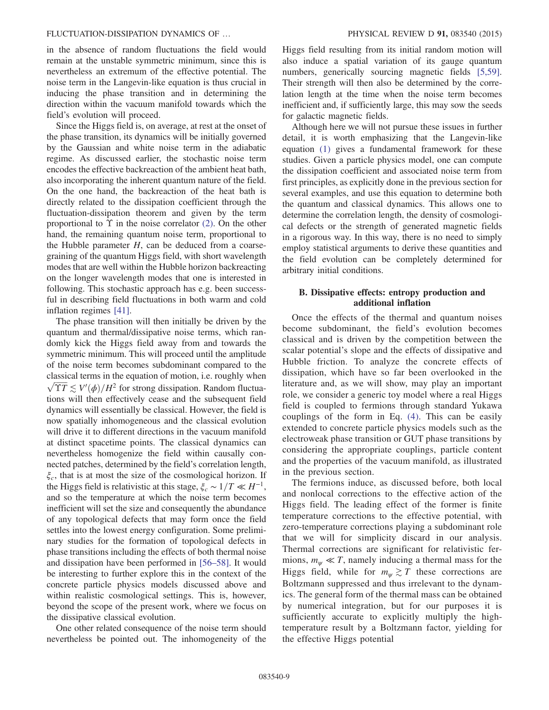in the absence of random fluctuations the field would remain at the unstable symmetric minimum, since this is nevertheless an extremum of the effective potential. The noise term in the Langevin-like equation is thus crucial in inducing the phase transition and in determining the direction within the vacuum manifold towards which the field's evolution will proceed.

Since the Higgs field is, on average, at rest at the onset of the phase transition, its dynamics will be initially governed by the Gaussian and white noise term in the adiabatic regime. As discussed earlier, the stochastic noise term encodes the effective backreaction of the ambient heat bath, also incorporating the inherent quantum nature of the field. On the one hand, the backreaction of the heat bath is directly related to the dissipation coefficient through the fluctuation-dissipation theorem and given by the term proportional to  $\Upsilon$  in the noise correlator [\(2\).](#page-4-0) On the other hand, the remaining quantum noise term, proportional to the Hubble parameter  $H$ , can be deduced from a coarsegraining of the quantum Higgs field, with short wavelength modes that are well within the Hubble horizon backreacting on the longer wavelength modes that one is interested in following. This stochastic approach has e.g. been successful in describing field fluctuations in both warm and cold inflation regimes [\[41\]](#page-22-24).

The phase transition will then initially be driven by the quantum and thermal/dissipative noise terms, which randomly kick the Higgs field away from and towards the symmetric minimum. This will proceed until the amplitude of the noise term becomes subdominant compared to the classical terms in the equation of motion, i.e. roughly when  $\sqrt{\Upsilon T} \lesssim V'(\phi)/H^2$  for strong dissipation. Random fluctuations will then effectively cease and the subsequent field dynamics will essentially be classical. However, the field is now spatially inhomogeneous and the classical evolution will drive it to different directions in the vacuum manifold at distinct spacetime points. The classical dynamics can nevertheless homogenize the field within causally connected patches, determined by the field's correlation length,  $\xi_c$ , that is at most the size of the cosmological horizon. If the Higgs field is relativistic at this stage,  $\xi_c \sim 1/T \ll H^{-1}$ , and so the temperature at which the noise term becomes inefficient will set the size and consequently the abundance of any topological defects that may form once the field settles into the lowest energy configuration. Some preliminary studies for the formation of topological defects in phase transitions including the effects of both thermal noise and dissipation have been performed in [\[56](#page-22-25)–58]. It would be interesting to further explore this in the context of the concrete particle physics models discussed above and within realistic cosmological settings. This is, however, beyond the scope of the present work, where we focus on the dissipative classical evolution.

One other related consequence of the noise term should nevertheless be pointed out. The inhomogeneity of the Higgs field resulting from its initial random motion will also induce a spatial variation of its gauge quantum numbers, generically sourcing magnetic fields [\[5,59\]](#page-22-3). Their strength will then also be determined by the correlation length at the time when the noise term becomes inefficient and, if sufficiently large, this may sow the seeds for galactic magnetic fields.

Although here we will not pursue these issues in further detail, it is worth emphasizing that the Langevin-like equation [\(1\)](#page-4-1) gives a fundamental framework for these studies. Given a particle physics model, one can compute the dissipation coefficient and associated noise term from first principles, as explicitly done in the previous section for several examples, and use this equation to determine both the quantum and classical dynamics. This allows one to determine the correlation length, the density of cosmological defects or the strength of generated magnetic fields in a rigorous way. In this way, there is no need to simply employ statistical arguments to derive these quantities and the field evolution can be completely determined for arbitrary initial conditions.

#### B. Dissipative effects: entropy production and additional inflation

Once the effects of the thermal and quantum noises become subdominant, the field's evolution becomes classical and is driven by the competition between the scalar potential's slope and the effects of dissipative and Hubble friction. To analyze the concrete effects of dissipation, which have so far been overlooked in the literature and, as we will show, may play an important role, we consider a generic toy model where a real Higgs field is coupled to fermions through standard Yukawa couplings of the form in Eq. [\(4\)](#page-4-2). This can be easily extended to concrete particle physics models such as the electroweak phase transition or GUT phase transitions by considering the appropriate couplings, particle content and the properties of the vacuum manifold, as illustrated in the previous section.

<span id="page-9-0"></span>The fermions induce, as discussed before, both local and nonlocal corrections to the effective action of the Higgs field. The leading effect of the former is finite temperature corrections to the effective potential, with zero-temperature corrections playing a subdominant role that we will for simplicity discard in our analysis. Thermal corrections are significant for relativistic fermions,  $m_{\psi} \ll T$ , namely inducing a thermal mass for the Higgs field, while for  $m_\nu \gtrsim T$  these corrections are Boltzmann suppressed and thus irrelevant to the dynamics. The general form of the thermal mass can be obtained by numerical integration, but for our purposes it is sufficiently accurate to explicitly multiply the hightemperature result by a Boltzmann factor, yielding for the effective Higgs potential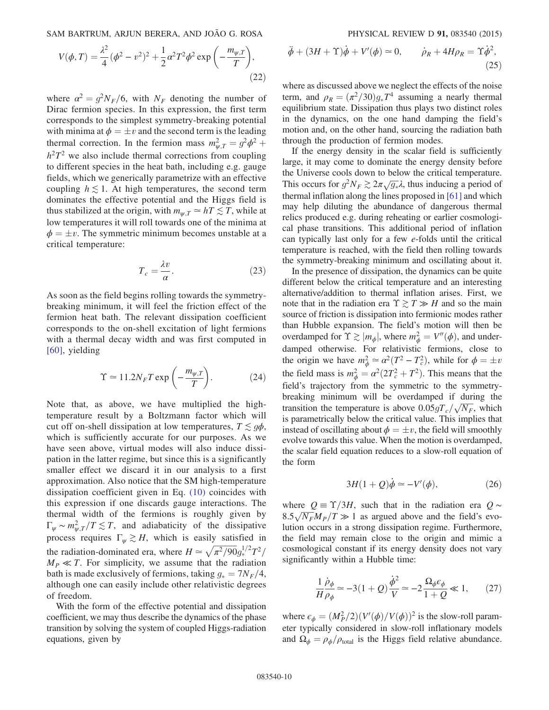SAM BARTRUM, ARJUN BERERA, AND JOÃO G. ROSA PHYSICAL REVIEW D 91, 083540 (2015)

$$
V(\phi, T) = \frac{\lambda^2}{4} (\phi^2 - v^2)^2 + \frac{1}{2} \alpha^2 T^2 \phi^2 \exp\left(-\frac{m_{\psi, T}}{T}\right),\tag{22}
$$

where  $\alpha^2 = g^2N_F/6$ , with  $N_F$  denoting the number of Dirac fermion species. In this expression, the first term corresponds to the simplest symmetry-breaking potential with minima at  $\phi = \pm v$  and the second term is the leading thermal correction. In the fermion mass  $m_{\psi,T}^2 = g^2 \phi^2 +$  $h^2T^2$  we also include thermal corrections from coupling to different species in the heat bath, including e.g. gauge fields, which we generically parametrize with an effective coupling  $h \leq 1$ . At high temperatures, the second term dominates the effective potential and the Higgs field is thus stabilized at the origin, with  $m_{\psi,T} \simeq hT \lesssim T$ , while at low temperatures it will roll towards one of the minima at  $\phi = \pm v$ . The symmetric minimum becomes unstable at a critical temperature:

$$
T_c = \frac{\lambda v}{\alpha}.\tag{23}
$$

<span id="page-10-0"></span>As soon as the field begins rolling towards the symmetrybreaking minimum, it will feel the friction effect of the fermion heat bath. The relevant dissipation coefficient corresponds to the on-shell excitation of light fermions with a thermal decay width and was first computed in [\[60\],](#page-22-26) yielding

$$
\Upsilon \simeq 11.2 N_F T \exp\left(-\frac{m_{\psi,T}}{T}\right). \tag{24}
$$

Note that, as above, we have multiplied the hightemperature result by a Boltzmann factor which will cut off on-shell dissipation at low temperatures,  $T \lesssim g\phi$ , which is sufficiently accurate for our purposes. As we have seen above, virtual modes will also induce dissipation in the latter regime, but since this is a significantly smaller effect we discard it in our analysis to a first approximation. Also notice that the SM high-temperature dissipation coefficient given in Eq. [\(10\)](#page-6-0) coincides with this expression if one discards gauge interactions. The thermal width of the fermions is roughly given by  $\Gamma_{\psi} \sim m_{\psi, T}^2 / T \lesssim T$ , and adiabaticity of the dissipative process requires  $\Gamma_{\psi} \gtrsim H$ , which is easily satisfied in the radiation-dominated era, where  $H \approx \sqrt{\pi^2/90} g_*^{1/2} T^2/$  $M_P \ll T$ . For simplicity, we assume that the radiation bath is made exclusively of fermions, taking  $g_* = 7N_F/4$ , although one can easily include other relativistic degrees of freedom.

<span id="page-10-2"></span>With the form of the effective potential and dissipation coefficient, we may thus describe the dynamics of the phase transition by solving the system of coupled Higgs-radiation equations, given by

$$
\ddot{\phi} + (3H + \Upsilon)\dot{\phi} + V'(\phi) \simeq 0, \qquad \dot{\rho}_R + 4H\rho_R = \Upsilon \dot{\phi}^2,
$$
\n(25)

where as discussed above we neglect the effects of the noise term, and  $\rho_R = (\pi^2/30)g_*T^4$  assuming a nearly thermal equilibrium state. Dissipation thus plays two distinct roles in the dynamics, on the one hand damping the field's motion and, on the other hand, sourcing the radiation bath through the production of fermion modes.

If the energy density in the scalar field is sufficiently large, it may come to dominate the energy density before the Universe cools down to below the critical temperature. This occurs for  $g^2N_F \gtrsim 2\pi\sqrt{g_*}\lambda$ , thus inducing a period of thermal inflation along the lines proposed in [\[61\]](#page-22-27) and which may help diluting the abundance of dangerous thermal relics produced e.g. during reheating or earlier cosmological phase transitions. This additional period of inflation can typically last only for a few e-folds until the critical temperature is reached, with the field then rolling towards the symmetry-breaking minimum and oscillating about it.

In the presence of dissipation, the dynamics can be quite different below the critical temperature and an interesting alternative/addition to thermal inflation arises. First, we note that in the radiation era  $\Upsilon \gtrsim T \gg H$  and so the main source of friction is dissipation into fermionic modes rather than Hubble expansion. The field's motion will then be overdamped for  $\Upsilon \gtrsim |m_{\phi}|$ , where  $m_{\phi}^2 = V''(\phi)$ , and underdamped otherwise. For relativistic fermions, close to the origin we have  $m_{\phi}^2 \simeq \alpha^2 (T^2 - T_c^2)$ , while for  $\phi = \pm v$ the field mass is  $m_{\phi}^2 = \alpha^2 (2T_c^2 + T^2)$ . This means that the field's trajectory from the symmetric to the symmetrybreaking minimum will be overdamped if during the transition the temperature is above  $0.05 gT_c/\sqrt{N_F}$ , which is parametrically below the critical value. This implies that instead of oscillating about  $\phi = \pm v$ , the field will smoothly evolve towards this value. When the motion is overdamped, the scalar field equation reduces to a slow-roll equation of the form

$$
3H(1+Q)\dot{\phi} \simeq -V'(\phi),\tag{26}
$$

<span id="page-10-1"></span>where  $Q = \Upsilon/3H$ , such that in the radiation era  $Q \sim$  $8.5\sqrt{N_F}M_P/T \gg 1$  as argued above and the field's evolution occurs in a strong dissipation regime. Furthermore, the field may remain close to the origin and mimic a cosmological constant if its energy density does not vary significantly within a Hubble time:

$$
\frac{1}{H}\frac{\dot{\rho}_{\phi}}{\rho_{\phi}} \simeq -3(1+Q)\frac{\dot{\phi}^2}{V} \simeq -2\frac{\Omega_{\phi}\epsilon_{\phi}}{1+Q} \ll 1,\qquad(27)
$$

where  $\epsilon_{\phi} = (M_P^2/2)(V'(\phi)/V(\phi))^2$  is the slow-roll parameter typically considered in slow-roll inflationary models and  $\Omega_{\phi} = \rho_{\phi}/\rho_{\text{total}}$  is the Higgs field relative abundance.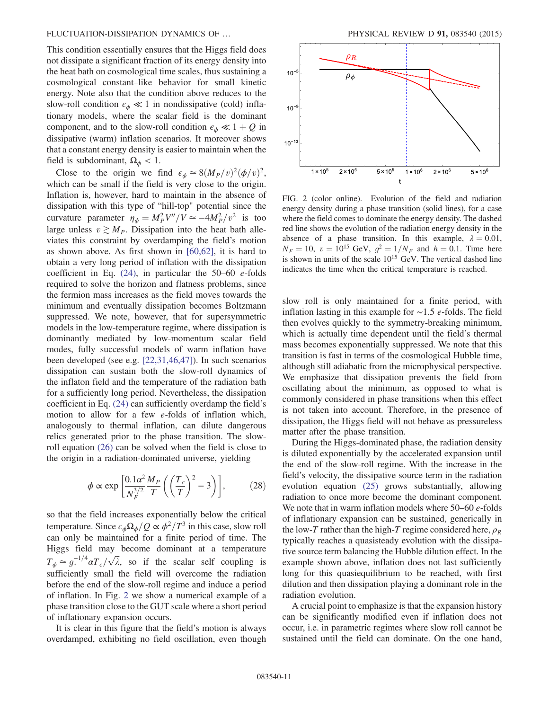This condition essentially ensures that the Higgs field does not dissipate a significant fraction of its energy density into the heat bath on cosmological time scales, thus sustaining a cosmological constant–like behavior for small kinetic energy. Note also that the condition above reduces to the slow-roll condition  $\epsilon_{\phi} \ll 1$  in nondissipative (cold) inflationary models, where the scalar field is the dominant component, and to the slow-roll condition  $\epsilon_{\phi} \ll 1 + Q$  in dissipative (warm) inflation scenarios. It moreover shows that a constant energy density is easier to maintain when the field is subdominant,  $\Omega_{\phi} < 1$ .

Close to the origin we find  $\epsilon_{\phi} \simeq 8(M_P/v)^2(\phi/v)^2$ , which can be small if the field is very close to the origin. Inflation is, however, hard to maintain in the absence of dissipation with this type of "hill-top" potential since the curvature parameter  $\eta_{\phi} = M_P^2 V''/V \approx -4M_P^2/v^2$  is too large unless  $v \gtrsim M_P$ . Dissipation into the heat bath alleviates this constraint by overdamping the field's motion as shown above. As first shown in [\[60,62\]](#page-22-26), it is hard to obtain a very long period of inflation with the dissipation coefficient in Eq.  $(24)$ , in particular the 50–60 e-folds required to solve the horizon and flatness problems, since the fermion mass increases as the field moves towards the minimum and eventually dissipation becomes Boltzmann suppressed. We note, however, that for supersymmetric models in the low-temperature regime, where dissipation is dominantly mediated by low-momentum scalar field modes, fully successful models of warm inflation have been developed (see e.g. [\[22,31,46,47\]](#page-22-7)). In such scenarios dissipation can sustain both the slow-roll dynamics of the inflaton field and the temperature of the radiation bath for a sufficiently long period. Nevertheless, the dissipation coefficient in Eq. [\(24\)](#page-10-0) can sufficiently overdamp the field's motion to allow for a few e-folds of inflation which, analogously to thermal inflation, can dilute dangerous relics generated prior to the phase transition. The slowroll equation [\(26\)](#page-10-1) can be solved when the field is close to the origin in a radiation-dominated universe, yielding

$$
\phi \propto \exp\left[\frac{0.1\alpha^2}{N_F^{3/2}}\frac{M_P}{T}\left(\left(\frac{T_c}{T}\right)^2 - 3\right)\right],\tag{28}
$$

so that the field increases exponentially below the critical temperature. Since  $\epsilon_{\phi} \Omega_{\phi}/Q \propto \phi^2/T^3$  in this case, slow roll can only be maintained for a finite period of time. The Higgs field may become dominant at a temperature  $T_{\phi} \simeq g_*^{-1/4} \alpha T_c / \sqrt{\lambda}$ , so if the scalar self coupling is sufficiently small the field will overcome the radiation before the end of the slow-roll regime and induce a period of inflation. In Fig. [2](#page-11-0) we show a numerical example of a phase transition close to the GUT scale where a short period of inflationary expansion occurs.

It is clear in this figure that the field's motion is always overdamped, exhibiting no field oscillation, even though

<span id="page-11-0"></span>

FIG. 2 (color online). Evolution of the field and radiation energy density during a phase transition (solid lines), for a case where the field comes to dominate the energy density. The dashed red line shows the evolution of the radiation energy density in the absence of a phase transition. In this example,  $\lambda = 0.01$ ,  $N_F = 10$ ,  $v = 10^{15}$  GeV,  $g^2 = 1/N_F$  and  $h = 0.1$ . Time here is shown in units of the scale  $10^{15}$  GeV. The vertical dashed line indicates the time when the critical temperature is reached.

slow roll is only maintained for a finite period, with inflation lasting in this example for ∼1.5 e-folds. The field then evolves quickly to the symmetry-breaking minimum, which is actually time dependent until the field's thermal mass becomes exponentially suppressed. We note that this transition is fast in terms of the cosmological Hubble time, although still adiabatic from the microphysical perspective. We emphasize that dissipation prevents the field from oscillating about the minimum, as opposed to what is commonly considered in phase transitions when this effect is not taken into account. Therefore, in the presence of dissipation, the Higgs field will not behave as pressureless matter after the phase transition.

During the Higgs-dominated phase, the radiation density is diluted exponentially by the accelerated expansion until the end of the slow-roll regime. With the increase in the field's velocity, the dissipative source term in the radiation evolution equation [\(25\)](#page-10-2) grows substantially, allowing radiation to once more become the dominant component. We note that in warm inflation models where  $50-60$  e-folds of inflationary expansion can be sustained, generically in the low-T rather than the high-T regime considered here,  $\rho_R$ typically reaches a quasisteady evolution with the dissipative source term balancing the Hubble dilution effect. In the example shown above, inflation does not last sufficiently long for this quasiequilibrium to be reached, with first dilution and then dissipation playing a dominant role in the radiation evolution.

A crucial point to emphasize is that the expansion history can be significantly modified even if inflation does not occur, i.e. in parametric regimes where slow roll cannot be sustained until the field can dominate. On the one hand,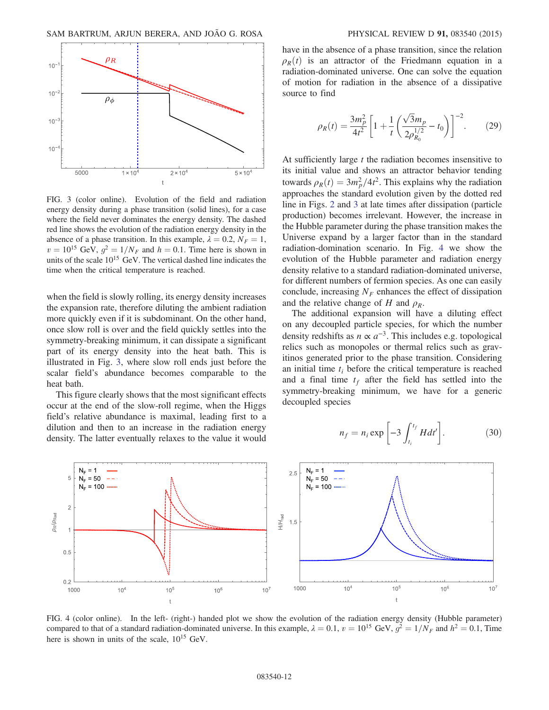<span id="page-12-0"></span>

FIG. 3 (color online). Evolution of the field and radiation energy density during a phase transition (solid lines), for a case where the field never dominates the energy density. The dashed red line shows the evolution of the radiation energy density in the absence of a phase transition. In this example,  $\lambda = 0.2$ ,  $N_F = 1$ ,  $v = 10^{15}$  GeV,  $q^2 = 1/N_F$  and  $h = 0.1$ . Time here is shown in units of the scale  $10^{15}$  GeV. The vertical dashed line indicates the time when the critical temperature is reached.

when the field is slowly rolling, its energy density increases the expansion rate, therefore diluting the ambient radiation more quickly even if it is subdominant. On the other hand, once slow roll is over and the field quickly settles into the symmetry-breaking minimum, it can dissipate a significant part of its energy density into the heat bath. This is illustrated in Fig. [3,](#page-12-0) where slow roll ends just before the scalar field's abundance becomes comparable to the heat bath.

This figure clearly shows that the most significant effects occur at the end of the slow-roll regime, when the Higgs field's relative abundance is maximal, leading first to a dilution and then to an increase in the radiation energy density. The latter eventually relaxes to the value it would have in the absence of a phase transition, since the relation  $\rho_R(t)$  is an attractor of the Friedmann equation in a radiation-dominated universe. One can solve the equation of motion for radiation in the absence of a dissipative source to find

$$
\rho_R(t) = \frac{3m_p^2}{4t^2} \left[ 1 + \frac{1}{t} \left( \frac{\sqrt{3}m_p}{2\rho_{R_0}^{1/2}} - t_0 \right) \right]^{-2}.
$$
 (29)

At sufficiently large  $t$  the radiation becomes insensitive to its initial value and shows an attractor behavior tending towards  $\rho_R(t) = 3m_p^2/4t^2$ . This explains why the radiation approaches the standard evolution given by the dotted red line in Figs. [2](#page-11-0) and [3](#page-12-0) at late times after dissipation (particle production) becomes irrelevant. However, the increase in the Hubble parameter during the phase transition makes the Universe expand by a larger factor than in the standard radiation-domination scenario. In Fig. [4](#page-12-1) we show the evolution of the Hubble parameter and radiation energy density relative to a standard radiation-dominated universe, for different numbers of fermion species. As one can easily conclude, increasing  $N_F$  enhances the effect of dissipation and the relative change of H and  $\rho_R$ .

The additional expansion will have a diluting effect on any decoupled particle species, for which the number density redshifts as  $n \propto a^{-3}$ . This includes e.g. topological relics such as monopoles or thermal relics such as gravitinos generated prior to the phase transition. Considering an initial time  $t_i$  before the critical temperature is reached and a final time  $t_f$  after the field has settled into the symmetry-breaking minimum, we have for a generic decoupled species

$$
n_f = n_i \exp\left[-3 \int_{t_i}^{t_f} H dt'\right].
$$
 (30)

<span id="page-12-1"></span>

FIG. 4 (color online). In the left- (right-) handed plot we show the evolution of the radiation energy density (Hubble parameter) compared to that of a standard radiation-dominated universe. In this example,  $\lambda = 0.1$ ,  $v = 10^{15}$  GeV,  $g^2 = 1/N_F$  and  $h^2 = 0.1$ , Time here is shown in units of the scale,  $10^{15}$  GeV.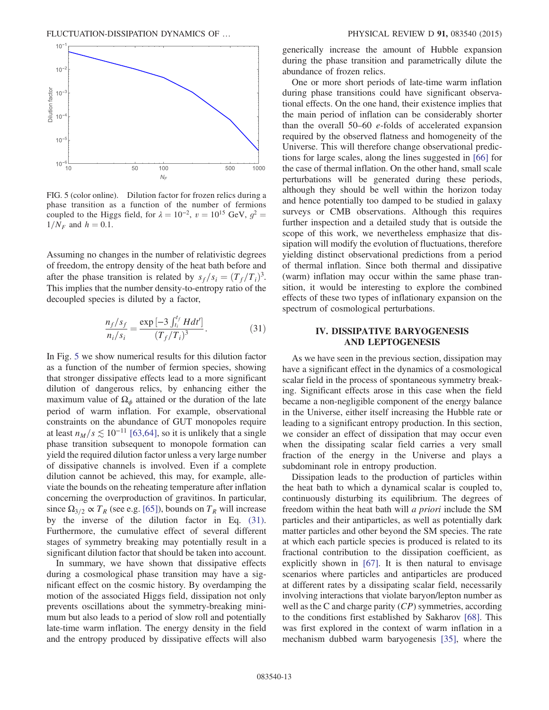<span id="page-13-1"></span>

FIG. 5 (color online). Dilution factor for frozen relics during a phase transition as a function of the number of fermions coupled to the Higgs field, for  $\lambda = 10^{-2}$ ,  $v = 10^{15}$  GeV,  $g^2$  $1/N_F$  and  $h = 0.1$ .

<span id="page-13-2"></span>Assuming no changes in the number of relativistic degrees of freedom, the entropy density of the heat bath before and after the phase transition is related by  $s_f/s_i = (T_f/T_i)^3$ . This implies that the number density-to-entropy ratio of the decoupled species is diluted by a factor,

$$
\frac{n_f/s_f}{n_i/s_i} = \frac{\exp[-3 \int_{t_i}^{t_f} H dt']}{(T_f/T_i)^3}.
$$
 (31)

In Fig. [5](#page-13-1) we show numerical results for this dilution factor as a function of the number of fermion species, showing that stronger dissipative effects lead to a more significant dilution of dangerous relics, by enhancing either the maximum value of  $\Omega_{\phi}$  attained or the duration of the late period of warm inflation. For example, observational constraints on the abundance of GUT monopoles require at least  $n_M$ /s  $\leq 10^{-11}$  [\[63,64\]](#page-22-28), so it is unlikely that a single phase transition subsequent to monopole formation can yield the required dilution factor unless a very large number of dissipative channels is involved. Even if a complete dilution cannot be achieved, this may, for example, alleviate the bounds on the reheating temperature after inflation concerning the overproduction of gravitinos. In particular, since  $\Omega_{3/2} \propto T_R$  (see e.g. [\[65\]](#page-22-29)), bounds on  $T_R$  will increase by the inverse of the dilution factor in Eq. [\(31\)](#page-13-2). Furthermore, the cumulative effect of several different stages of symmetry breaking may potentially result in a significant dilution factor that should be taken into account.

In summary, we have shown that dissipative effects during a cosmological phase transition may have a significant effect on the cosmic history. By overdamping the motion of the associated Higgs field, dissipation not only prevents oscillations about the symmetry-breaking minimum but also leads to a period of slow roll and potentially late-time warm inflation. The energy density in the field and the entropy produced by dissipative effects will also generically increase the amount of Hubble expansion during the phase transition and parametrically dilute the abundance of frozen relics.

One or more short periods of late-time warm inflation during phase transitions could have significant observational effects. On the one hand, their existence implies that the main period of inflation can be considerably shorter than the overall 50–60 e-folds of accelerated expansion required by the observed flatness and homogeneity of the Universe. This will therefore change observational predictions for large scales, along the lines suggested in [\[66\]](#page-22-30) for the case of thermal inflation. On the other hand, small scale perturbations will be generated during these periods, although they should be well within the horizon today and hence potentially too damped to be studied in galaxy surveys or CMB observations. Although this requires further inspection and a detailed study that is outside the scope of this work, we nevertheless emphasize that dissipation will modify the evolution of fluctuations, therefore yielding distinct observational predictions from a period of thermal inflation. Since both thermal and dissipative (warm) inflation may occur within the same phase transition, it would be interesting to explore the combined effects of these two types of inflationary expansion on the spectrum of cosmological perturbations.

#### <span id="page-13-0"></span>IV. DISSIPATIVE BARYOGENESIS AND LEPTOGENESIS

As we have seen in the previous section, dissipation may have a significant effect in the dynamics of a cosmological scalar field in the process of spontaneous symmetry breaking. Significant effects arose in this case when the field became a non-negligible component of the energy balance in the Universe, either itself increasing the Hubble rate or leading to a significant entropy production. In this section, we consider an effect of dissipation that may occur even when the dissipating scalar field carries a very small fraction of the energy in the Universe and plays a subdominant role in entropy production.

Dissipation leads to the production of particles within the heat bath to which a dynamical scalar is coupled to, continuously disturbing its equilibrium. The degrees of freedom within the heat bath will a priori include the SM particles and their antiparticles, as well as potentially dark matter particles and other beyond the SM species. The rate at which each particle species is produced is related to its fractional contribution to the dissipation coefficient, as explicitly shown in [\[67\]](#page-22-31). It is then natural to envisage scenarios where particles and antiparticles are produced at different rates by a dissipating scalar field, necessarily involving interactions that violate baryon/lepton number as well as the C and charge parity  $(CP)$  symmetries, according to the conditions first established by Sakharov [\[68\]](#page-22-32). This was first explored in the context of warm inflation in a mechanism dubbed warm baryogenesis [\[35\],](#page-22-9) where the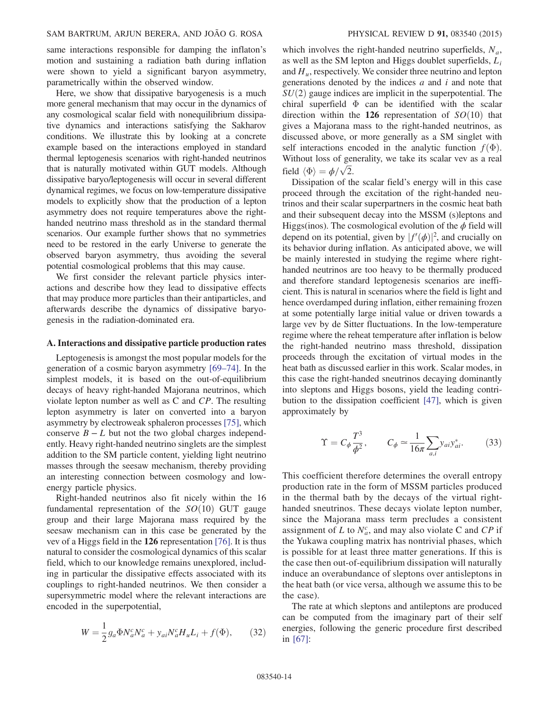same interactions responsible for damping the inflaton's motion and sustaining a radiation bath during inflation were shown to yield a significant baryon asymmetry, parametrically within the observed window.

Here, we show that dissipative baryogenesis is a much more general mechanism that may occur in the dynamics of any cosmological scalar field with nonequilibrium dissipative dynamics and interactions satisfying the Sakharov conditions. We illustrate this by looking at a concrete example based on the interactions employed in standard thermal leptogenesis scenarios with right-handed neutrinos that is naturally motivated within GUT models. Although dissipative baryo/leptogenesis will occur in several different dynamical regimes, we focus on low-temperature dissipative models to explicitly show that the production of a lepton asymmetry does not require temperatures above the righthanded neutrino mass threshold as in the standard thermal scenarios. Our example further shows that no symmetries need to be restored in the early Universe to generate the observed baryon asymmetry, thus avoiding the several potential cosmological problems that this may cause.

We first consider the relevant particle physics interactions and describe how they lead to dissipative effects that may produce more particles than their antiparticles, and afterwards describe the dynamics of dissipative baryogenesis in the radiation-dominated era.

#### A. Interactions and dissipative particle production rates

Leptogenesis is amongst the most popular models for the generation of a cosmic baryon asymmetry [\[69](#page-22-33)–74]. In the simplest models, it is based on the out-of-equilibrium decays of heavy right-handed Majorana neutrinos, which violate lepton number as well as C and CP. The resulting lepton asymmetry is later on converted into a baryon asymmetry by electroweak sphaleron processes [\[75\],](#page-23-0) which conserve  $B - L$  but not the two global charges independently. Heavy right-handed neutrino singlets are the simplest addition to the SM particle content, yielding light neutrino masses through the seesaw mechanism, thereby providing an interesting connection between cosmology and lowenergy particle physics.

Right-handed neutrinos also fit nicely within the 16 fundamental representation of the  $SO(10)$  GUT gauge group and their large Majorana mass required by the seesaw mechanism can in this case be generated by the vev of a Higgs field in the 126 representation [\[76\].](#page-23-1) It is thus natural to consider the cosmological dynamics of this scalar field, which to our knowledge remains unexplored, including in particular the dissipative effects associated with its couplings to right-handed neutrinos. We then consider a supersymmetric model where the relevant interactions are encoded in the superpotential,

<span id="page-14-1"></span>
$$
W = \frac{1}{2} g_a \Phi N_a^c N_a^c + y_{ai} N_a^c H_u L_i + f(\Phi), \qquad (32)
$$

which involves the right-handed neutrino superfields,  $N_a$ , as well as the SM lepton and Higgs doublet superfields,  $L_i$ and  $H<sub>u</sub>$ , respectively. We consider three neutrino and lepton generations denoted by the indices  $a$  and  $i$  and note that  $SU(2)$  gauge indices are implicit in the superpotential. The chiral superfield  $\Phi$  can be identified with the scalar direction within the 126 representation of  $SO(10)$  that gives a Majorana mass to the right-handed neutrinos, as discussed above, or more generally as a SM singlet with self interactions encoded in the analytic function  $f(\Phi)$ . Without loss of generality, we take its scalar vev as a real field  $\langle \Phi \rangle = \phi / \sqrt{2}$ .

Dissipation of the scalar field's energy will in this case proceed through the excitation of the right-handed neutrinos and their scalar superpartners in the cosmic heat bath and their subsequent decay into the MSSM (s)leptons and Higgs(inos). The cosmological evolution of the  $\phi$  field will depend on its potential, given by  $|f'(\phi)|^2$ , and crucially on its behavior during inflation. As anticipated above, we will be mainly interested in studying the regime where righthanded neutrinos are too heavy to be thermally produced and therefore standard leptogenesis scenarios are inefficient. This is natural in scenarios where the field is light and hence overdamped during inflation, either remaining frozen at some potentially large initial value or driven towards a large vev by de Sitter fluctuations. In the low-temperature regime where the reheat temperature after inflation is below the right-handed neutrino mass threshold, dissipation proceeds through the excitation of virtual modes in the heat bath as discussed earlier in this work. Scalar modes, in this case the right-handed sneutrinos decaying dominantly into sleptons and Higgs bosons, yield the leading contribution to the dissipation coefficient [\[47\],](#page-22-18) which is given approximately by

<span id="page-14-0"></span>
$$
\Upsilon = C_{\phi} \frac{T^3}{\phi^2}, \qquad C_{\phi} \approx \frac{1}{16\pi} \sum_{a,i} y_{ai} y_{ai}^*.
$$
 (33)

This coefficient therefore determines the overall entropy production rate in the form of MSSM particles produced in the thermal bath by the decays of the virtual righthanded sneutrinos. These decays violate lepton number, since the Majorana mass term precludes a consistent assignment of L to  $N_a^c$ , and may also violate C and CP if the Yukawa coupling matrix has nontrivial phases, which is possible for at least three matter generations. If this is the case then out-of-equilibrium dissipation will naturally induce an overabundance of sleptons over antisleptons in the heat bath (or vice versa, although we assume this to be the case).

The rate at which sleptons and antileptons are produced can be computed from the imaginary part of their self energies, following the generic procedure first described in [\[67\]](#page-22-31):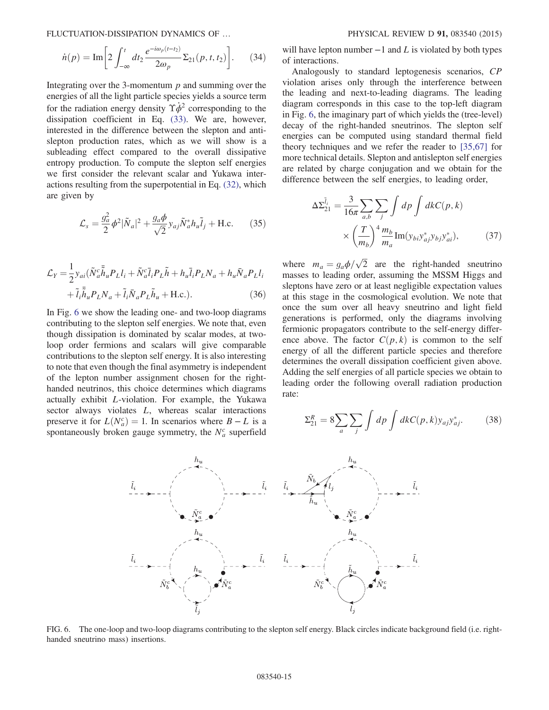$$
\dot{n}(p) = \text{Im}\left[2\int_{-\infty}^{t} dt_2 \frac{e^{-i\omega_p(t-t_2)}}{2\omega_p} \Sigma_{21}(p, t, t_2)\right].
$$
 (34)

Integrating over the 3-momentum  $p$  and summing over the energies of all the light particle species yields a source term for the radiation energy density  $\hat{\sigma} \phi^2$  corresponding to the dissipation coefficient in Eq. [\(33\).](#page-14-0) We are, however, interested in the difference between the slepton and antislepton production rates, which as we will show is a subleading effect compared to the overall dissipative entropy production. To compute the slepton self energies we first consider the relevant scalar and Yukawa interactions resulting from the superpotential in Eq. [\(32\)](#page-14-1), which are given by

$$
\mathcal{L}_s = \frac{g_a^2}{2} \phi^2 |\tilde{N}_a|^2 + \frac{g_a \phi}{\sqrt{2}} y_{aj} \tilde{N}_a^* h_u \tilde{l}_j + \text{H.c.}
$$
 (35)

$$
\mathcal{L}_{Y} = \frac{1}{2} y_{ai} (\tilde{N}_{a}^{c} \tilde{\bar{h}}_{u} P_{L} l_{i} + \tilde{N}_{a}^{c} \bar{l}_{i} P_{L} \tilde{h} + h_{u} \bar{l}_{i} P_{L} N_{a} + h_{u} \bar{N}_{a} P_{L} l_{i} + \tilde{l}_{i} \tilde{\bar{h}}_{u} P_{L} N_{a} + \tilde{l}_{i} \bar{N}_{a} P_{L} \tilde{h}_{u} + \text{H.c.}).
$$
\n(36)

In Fig. [6](#page-15-0) we show the leading one- and two-loop diagrams contributing to the slepton self energies. We note that, even though dissipation is dominated by scalar modes, at twoloop order fermions and scalars will give comparable contributions to the slepton self energy. It is also interesting to note that even though the final asymmetry is independent of the lepton number assignment chosen for the righthanded neutrinos, this choice determines which diagrams actually exhibit L-violation. For example, the Yukawa sector always violates *L*, whereas scalar interactions preserve it for  $L(N_a^c) = 1$ . In scenarios where  $B - L$  is a spontaneously broken gauge symmetry, the  $N_a^c$  superfield will have lepton number  $-1$  and L is violated by both types of interactions.

Analogously to standard leptogenesis scenarios, CP violation arises only through the interference between the leading and next-to-leading diagrams. The leading diagram corresponds in this case to the top-left diagram in Fig. [6,](#page-15-0) the imaginary part of which yields the (tree-level) decay of the right-handed sneutrinos. The slepton self energies can be computed using standard thermal field theory techniques and we refer the reader to [\[35,67\]](#page-22-9) for more technical details. Slepton and antislepton self energies are related by charge conjugation and we obtain for the difference between the self energies, to leading order,

<span id="page-15-1"></span>
$$
\Delta \Sigma_{21}^{\tilde{l}_i} = \frac{3}{16\pi} \sum_{a,b} \sum_{j} \int dp \int dk C(p,k)
$$

$$
\times \left(\frac{T}{m_b}\right)^4 \frac{m_b}{m_a} \text{Im}(y_{bi} y_{aj}^* y_{bj} y_{ai}^*), \tag{37}
$$

where  $m_a = g_a \phi / \sqrt{2}$  are the right-handed sneutrino masses to leading order, assuming the MSSM Higgs and sleptons have zero or at least negligible expectation values at this stage in the cosmological evolution. We note that once the sum over all heavy sneutrino and light field generations is performed, only the diagrams involving fermionic propagators contribute to the self-energy difference above. The factor  $C(p, k)$  is common to the self energy of all the different particle species and therefore determines the overall dissipation coefficient given above. Adding the self energies of all particle species we obtain to leading order the following overall radiation production rate:

<span id="page-15-2"></span>
$$
\Sigma_{21}^R = 8 \sum_a \sum_j \int dp \int d\kappa C(p, k) y_{aj} y_{aj}^*.
$$
 (38)

<span id="page-15-0"></span>

FIG. 6. The one-loop and two-loop diagrams contributing to the slepton self energy. Black circles indicate background field (i.e. righthanded sneutrino mass) insertions.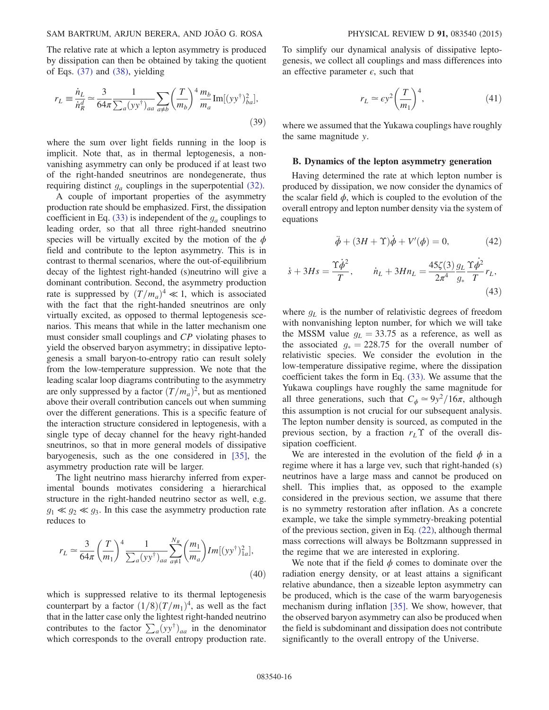The relative rate at which a lepton asymmetry is produced by dissipation can then be obtained by taking the quotient of Eqs. [\(37\)](#page-15-1) and [\(38\)](#page-15-2), yielding

$$
r_L \equiv \frac{\dot{n}_L}{\dot{n}_R^d} \simeq \frac{3}{64\pi} \frac{1}{\sum_a (yy^\dagger)_{aa}} \sum_{a \neq b} \left(\frac{T}{m_b}\right)^4 \frac{m_b}{m_a} \text{Im}[(yy^\dagger)_{ba}^2],\tag{39}
$$

where the sum over light fields running in the loop is implicit. Note that, as in thermal leptogenesis, a nonvanishing asymmetry can only be produced if at least two of the right-handed sneutrinos are nondegenerate, thus requiring distinct  $g_a$  couplings in the superpotential [\(32\).](#page-14-1)

A couple of important properties of the asymmetry production rate should be emphasized. First, the dissipation coefficient in Eq. [\(33\)](#page-14-0) is independent of the  $g_a$  couplings to leading order, so that all three right-handed sneutrino species will be virtually excited by the motion of the  $\phi$ field and contribute to the lepton asymmetry. This is in contrast to thermal scenarios, where the out-of-equilibrium decay of the lightest right-handed (s)neutrino will give a dominant contribution. Second, the asymmetry production rate is suppressed by  $(T/m_a)^4 \ll 1$ , which is associated with the fact that the right-handed sneutrinos are only virtually excited, as opposed to thermal leptogenesis scenarios. This means that while in the latter mechanism one must consider small couplings and CP violating phases to yield the observed baryon asymmetry; in dissipative leptogenesis a small baryon-to-entropy ratio can result solely from the low-temperature suppression. We note that the leading scalar loop diagrams contributing to the asymmetry are only suppressed by a factor  $(T/m_a)^2$ , but as mentioned above their overall contribution cancels out when summing over the different generations. This is a specific feature of the interaction structure considered in leptogenesis, with a single type of decay channel for the heavy right-handed sneutrinos, so that in more general models of dissipative baryogenesis, such as the one considered in [\[35\],](#page-22-9) the asymmetry production rate will be larger.

The light neutrino mass hierarchy inferred from experimental bounds motivates considering a hierarchical structure in the right-handed neutrino sector as well, e.g.  $g_1 \ll g_2 \ll g_3$ . In this case the asymmetry production rate reduces to

$$
r_L \simeq \frac{3}{64\pi} \left(\frac{T}{m_1}\right)^4 \frac{1}{\sum_a (yy^\dagger)_{aa}} \sum_{a \neq 1}^{N_R} \left(\frac{m_1}{m_a}\right) Im[(yy^\dagger)_{1a}^2],\tag{40}
$$

which is suppressed relative to its thermal leptogenesis counterpart by a factor  $(1/8)(T/m_1)^4$ , as well as the fact that in the latter case only the lightest right-handed neutrino contributes to the factor  $\sum_a (yy^{\dagger})_{aa}$  in the denominator which corresponds to the overall entropy production rate.

To simplify our dynamical analysis of dissipative leptogenesis, we collect all couplings and mass differences into an effective parameter  $\epsilon$ , such that

$$
r_L \simeq \varepsilon y^2 \left(\frac{T}{m_1}\right)^4,\tag{41}
$$

where we assumed that the Yukawa couplings have roughly the same magnitude y.

#### B. Dynamics of the lepton asymmetry generation

Having determined the rate at which lepton number is produced by dissipation, we now consider the dynamics of the scalar field  $\phi$ , which is coupled to the evolution of the overall entropy and lepton number density via the system of equations

$$
\ddot{\phi} + (3H + \Upsilon)\dot{\phi} + V'(\phi) = 0, \qquad (42)
$$

$$
\dot{s} + 3Hs = \frac{\Upsilon \dot{\phi}^2}{T}, \qquad \dot{n}_L + 3Hn_L = \frac{45\zeta(3)}{2\pi^4} \frac{g_L}{g_*} \frac{\Upsilon \dot{\phi}^2}{T} r_L,
$$
\n(43)

where  $g_L$  is the number of relativistic degrees of freedom with nonvanishing lepton number, for which we will take the MSSM value  $g_L = 33.75$  as a reference, as well as the associated  $g_* = 228.75$  for the overall number of relativistic species. We consider the evolution in the low-temperature dissipative regime, where the dissipation coefficient takes the form in Eq. [\(33\).](#page-14-0) We assume that the Yukawa couplings have roughly the same magnitude for all three generations, such that  $C_{\phi} \simeq 9y^2/16\pi$ , although this assumption is not crucial for our subsequent analysis. The lepton number density is sourced, as computed in the previous section, by a fraction  $r<sub>L</sub>Y$  of the overall dissipation coefficient.

We are interested in the evolution of the field  $\phi$  in a regime where it has a large vev, such that right-handed (s) neutrinos have a large mass and cannot be produced on shell. This implies that, as opposed to the example considered in the previous section, we assume that there is no symmetry restoration after inflation. As a concrete example, we take the simple symmetry-breaking potential of the previous section, given in Eq. [\(22\)](#page-9-0), although thermal mass corrections will always be Boltzmann suppressed in the regime that we are interested in exploring.

We note that if the field  $\phi$  comes to dominate over the radiation energy density, or at least attains a significant relative abundance, then a sizeable lepton asymmetry can be produced, which is the case of the warm baryogenesis mechanism during inflation [\[35\].](#page-22-9) We show, however, that the observed baryon asymmetry can also be produced when the field is subdominant and dissipation does not contribute significantly to the overall entropy of the Universe.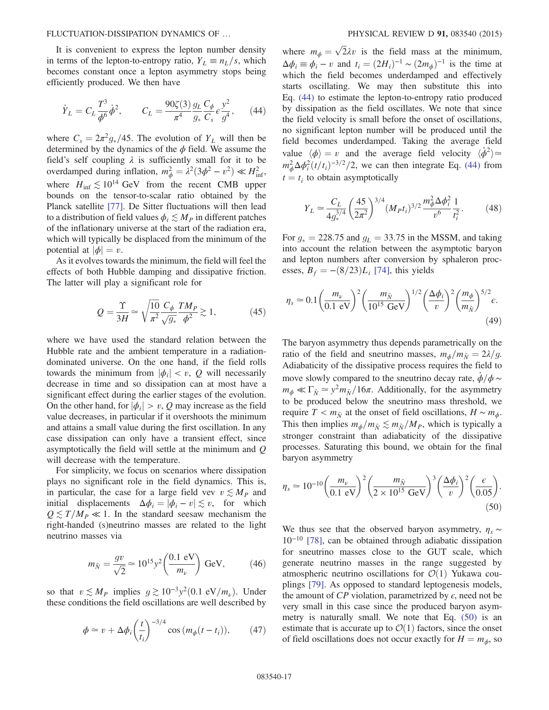<span id="page-17-0"></span>It is convenient to express the lepton number density in terms of the lepton-to-entropy ratio,  $Y_L \equiv n_L/s$ , which becomes constant once a lepton asymmetry stops being efficiently produced. We then have

$$
\dot{Y}_L = C_L \frac{T^3}{\phi^6} \dot{\phi}^2, \qquad C_L = \frac{90 \zeta(3) g_L}{\pi^4} \frac{C_\phi}{g_*} \frac{C_\phi}{C_s} \frac{y^2}{g^4}, \qquad (44)
$$

where  $C_s = 2\pi^2 g_*/45$ . The evolution of  $Y_L$  will then be determined by the dynamics of the  $\phi$  field. We assume the field's self coupling  $\lambda$  is sufficiently small for it to be overdamped during inflation,  $m_{\phi}^2 = \lambda^2 (3\phi^2 - v^2) \ll H_{\text{inf}}^2$ , where  $H_{\text{inf}} \lesssim 10^{14} \text{ GeV}$  from the recent CMB upper bounds on the tensor-to-scalar ratio obtained by the Planck satellite [\[77\]](#page-23-2). De Sitter fluctuations will then lead to a distribution of field values  $\phi_i \lesssim M_P$  in different patches of the inflationary universe at the start of the radiation era, which will typically be displaced from the minimum of the potential at  $|\phi| = v$ .

As it evolves towards the minimum, the field will feel the effects of both Hubble damping and dissipative friction. The latter will play a significant role for

$$
Q = \frac{\Upsilon}{3H} \simeq \sqrt{\frac{10}{\pi^2}} \frac{C_{\phi}}{\sqrt{g_*}} \frac{TM_P}{\phi^2} \gtrsim 1,
$$
 (45)

where we have used the standard relation between the Hubble rate and the ambient temperature in a radiationdominated universe. On the one hand, if the field rolls towards the minimum from  $|\phi_i| < v$ , Q will necessarily decrease in time and so dissipation can at most have a significant effect during the earlier stages of the evolution. On the other hand, for  $|\phi_i| > v$ , Q may increase as the field value decreases, in particular if it overshoots the minimum and attains a small value during the first oscillation. In any case dissipation can only have a transient effect, since asymptotically the field will settle at the minimum and Q will decrease with the temperature.

For simplicity, we focus on scenarios where dissipation plays no significant role in the field dynamics. This is, in particular, the case for a large field vev  $v \lesssim M_P$  and initial displacements  $\Delta \phi_i = |\phi_i - v| \lesssim v$ , for which  $Q \leq T/M_P \ll 1$ . In the standard seesaw mechanism the right-handed (s)neutrino masses are related to the light neutrino masses via

$$
m_{\tilde{N}} = \frac{gv}{\sqrt{2}} \simeq 10^{15} y^2 \left(\frac{0.1 \text{ eV}}{m_\nu}\right) \text{ GeV},\tag{46}
$$

so that  $v \lesssim M_P$  implies  $g \gtrsim 10^{-3} y^2 (0.1 \text{ eV}/m_v)$ . Under these conditions the field oscillations are well described by

$$
\phi \simeq v + \Delta \phi_i \left(\frac{t}{t_i}\right)^{-3/4} \cos \left(m_\phi(t - t_i)\right),\tag{47}
$$

where  $m_{\phi} = \sqrt{2\lambda v}$  is the field mass at the minimum,  $\Delta \phi_i \equiv \phi_i - v$  and  $t_i = (2H_i)^{-1} \sim (2m_\phi)^{-1}$  is the time at which the field becomes underdamped and effectively starts oscillating. We may then substitute this into Eq. [\(44\)](#page-17-0) to estimate the lepton-to-entropy ratio produced by dissipation as the field oscillates. We note that since the field velocity is small before the onset of oscillations, no significant lepton number will be produced until the field becomes underdamped. Taking the average field value  $\langle \phi \rangle = v$  and the average field velocity  $\langle \dot{\phi}^2 \rangle$  $m_{\phi}^2 \Delta \phi_i^2 (t/t_i)^{-3/2} / 2$ , we can then integrate Eq. [\(44\)](#page-17-0) from  $t = t_i$  to obtain asymptotically

$$
Y_L \simeq \frac{C_L}{4g_*^{3/4}} \left(\frac{45}{2\pi^2}\right)^{3/4} (M_P t_i)^{3/2} \frac{m_\phi^2 \Delta \phi_i^2}{v^6} \frac{1}{t_i^2}.\tag{48}
$$

For  $g_* = 228.75$  and  $g_L = 33.75$  in the MSSM, and taking into account the relation between the asymptotic baryon and lepton numbers after conversion by sphaleron processes,  $B_f = -(8/23)L_i$  [\[74\],](#page-23-3) this yields

$$
\eta_s \simeq 0.1 \left(\frac{m_{\nu}}{0.1 \text{ eV}}\right)^2 \left(\frac{m_{\tilde{N}}}{10^{15} \text{ GeV}}\right)^{1/2} \left(\frac{\Delta \phi_i}{v}\right)^2 \left(\frac{m_{\phi}}{m_{\tilde{N}}}\right)^{5/2} \epsilon. \tag{49}
$$

The baryon asymmetry thus depends parametrically on the ratio of the field and sneutrino masses,  $m_{\phi}/m_{\tilde{N}} = 2\lambda/g$ . Adiabaticity of the dissipative process requires the field to move slowly compared to the sneutrino decay rate,  $\phi/\phi \sim$  $m_{\phi} \ll \Gamma_{\tilde{N}} \simeq y^2 m_{\tilde{N}}/16\pi$ . Additionally, for the asymmetry to be produced below the sneutrino mass threshold, we require  $T < m_{\tilde{N}}$  at the onset of field oscillations,  $H \sim m_{\phi}$ . This then implies  $m_{\phi}/m_{\tilde{N}} \lesssim m_{\tilde{N}}/M_P$ , which is typically a stronger constraint than adiabaticity of the dissipative processes. Saturating this bound, we obtain for the final baryon asymmetry

<span id="page-17-1"></span>
$$
\eta_s \simeq 10^{-10} \left(\frac{m_\nu}{0.1 \text{ eV}}\right)^2 \left(\frac{m_{\tilde{N}}}{2 \times 10^{15} \text{ GeV}}\right)^3 \left(\frac{\Delta \phi_i}{v}\right)^2 \left(\frac{\epsilon}{0.05}\right). \tag{50}
$$

We thus see that the observed baryon asymmetry,  $\eta_s \sim$ 10<sup>−</sup><sup>10</sup> [\[78\]](#page-23-4), can be obtained through adiabatic dissipation for sneutrino masses close to the GUT scale, which generate neutrino masses in the range suggested by atmospheric neutrino oscillations for  $\mathcal{O}(1)$  Yukawa couplings [\[79\]](#page-23-5). As opposed to standard leptogenesis models, the amount of  $CP$  violation, parametrized by  $\epsilon$ , need not be very small in this case since the produced baryon asymmetry is naturally small. We note that Eq. [\(50\)](#page-17-1) is an estimate that is accurate up to  $\mathcal{O}(1)$  factors, since the onset of field oscillations does not occur exactly for  $H = m_{\phi}$ , so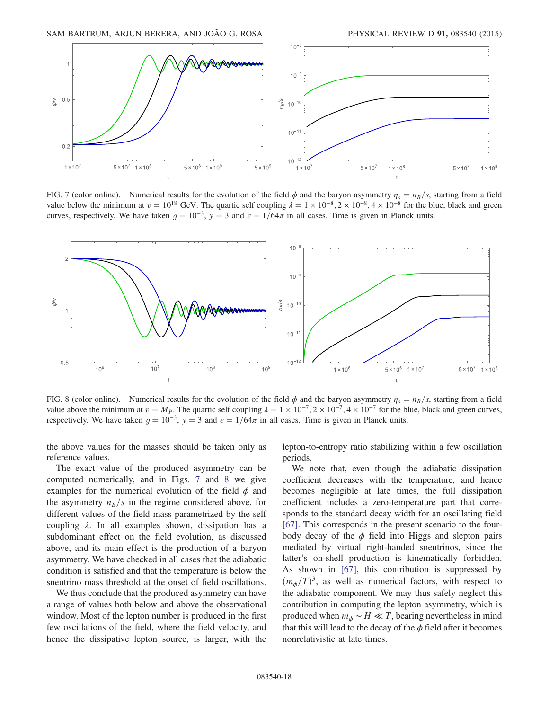SAM BARTRUM, ARJUN BERERA, AND JOÃO G. ROSA PHYSICAL REVIEW D 91, 083540 (2015)

<span id="page-18-0"></span>

FIG. 7 (color online). Numerical results for the evolution of the field  $\phi$  and the baryon asymmetry  $\eta_s = n_B/s$ , starting from a field value below the minimum at  $v = 10^{18}$  GeV. The quartic self coupling  $\lambda = 1 \times 10^{-8}$ ,  $2 \times 10^{-8}$ ,  $4 \times 10^{-8}$  for the blue, black and green curves, respectively. We have taken  $g = 10^{-3}$ ,  $y = 3$  and  $\varepsilon = 1/64\pi$  in all cases. Time is given in Planck units.

<span id="page-18-1"></span>

FIG. 8 (color online). Numerical results for the evolution of the field  $\phi$  and the baryon asymmetry  $\eta_s = n_B/s$ , starting from a field value above the minimum at  $v = M_p$ . The quartic self coupling  $\lambda = 1 \times 10^{-7}$ ,  $2 \times 10^{-7}$ ,  $4 \times 10^{-7}$  for the blue, black and green curves, respectively. We have taken  $g = 10^{-3}$ ,  $y = 3$  and  $\epsilon = 1/64\pi$  in all cases. Time is given in Planck units.

the above values for the masses should be taken only as reference values.

The exact value of the produced asymmetry can be computed numerically, and in Figs. [7](#page-18-0) and [8](#page-18-1) we give examples for the numerical evolution of the field  $\phi$  and the asymmetry  $n_B/s$  in the regime considered above, for different values of the field mass parametrized by the self coupling  $\lambda$ . In all examples shown, dissipation has a subdominant effect on the field evolution, as discussed above, and its main effect is the production of a baryon asymmetry. We have checked in all cases that the adiabatic condition is satisfied and that the temperature is below the sneutrino mass threshold at the onset of field oscillations.

We thus conclude that the produced asymmetry can have a range of values both below and above the observational window. Most of the lepton number is produced in the first few oscillations of the field, where the field velocity, and hence the dissipative lepton source, is larger, with the lepton-to-entropy ratio stabilizing within a few oscillation periods.

We note that, even though the adiabatic dissipation coefficient decreases with the temperature, and hence becomes negligible at late times, the full dissipation coefficient includes a zero-temperature part that corresponds to the standard decay width for an oscillating field [\[67\]](#page-22-31). This corresponds in the present scenario to the fourbody decay of the  $\phi$  field into Higgs and slepton pairs mediated by virtual right-handed sneutrinos, since the latter's on-shell production is kinematically forbidden. As shown in [\[67\],](#page-22-31) this contribution is suppressed by  $(m_\phi/T)^3$ , as well as numerical factors, with respect to the adiabatic component. We may thus safely neglect this contribution in computing the lepton asymmetry, which is produced when  $m_{\phi} \sim H \ll T$ , bearing nevertheless in mind that this will lead to the decay of the  $\phi$  field after it becomes nonrelativistic at late times.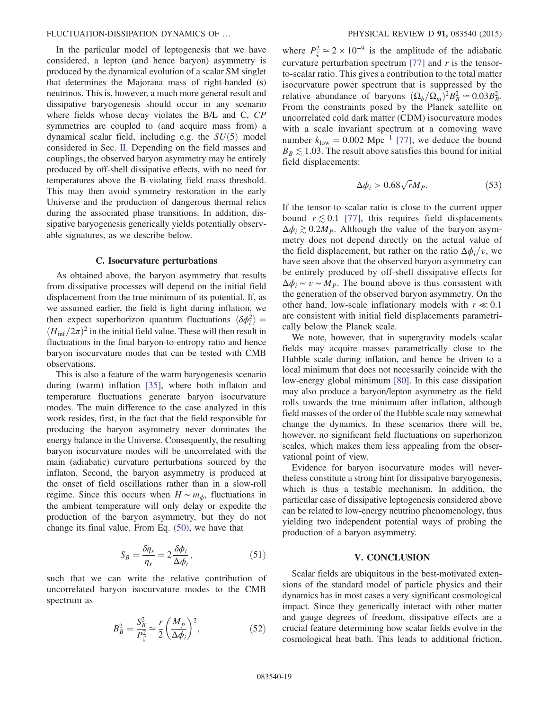In the particular model of leptogenesis that we have considered, a lepton (and hence baryon) asymmetry is produced by the dynamical evolution of a scalar SM singlet that determines the Majorana mass of right-handed (s) neutrinos. This is, however, a much more general result and dissipative baryogenesis should occur in any scenario where fields whose decay violates the B/L and C, CP symmetries are coupled to (and acquire mass from) a dynamical scalar field, including e.g. the  $SU(5)$  model considered in Sec. [II](#page-3-0). Depending on the field masses and couplings, the observed baryon asymmetry may be entirely produced by off-shell dissipative effects, with no need for temperatures above the B-violating field mass threshold. This may then avoid symmetry restoration in the early Universe and the production of dangerous thermal relics during the associated phase transitions. In addition, dissipative baryogenesis generically yields potentially observable signatures, as we describe below.

#### C. Isocurvature perturbations

As obtained above, the baryon asymmetry that results from dissipative processes will depend on the initial field displacement from the true minimum of its potential. If, as we assumed earlier, the field is light during inflation, we then expect superhorizon quantum fluctuations  $\langle \delta \phi_i^2 \rangle =$  $(H_{\text{inf}}/2\pi)^2$  in the initial field value. These will then result in fluctuations in the final baryon-to-entropy ratio and hence baryon isocurvature modes that can be tested with CMB observations.

This is also a feature of the warm baryogenesis scenario during (warm) inflation [\[35\],](#page-22-9) where both inflaton and temperature fluctuations generate baryon isocurvature modes. The main difference to the case analyzed in this work resides, first, in the fact that the field responsible for producing the baryon asymmetry never dominates the energy balance in the Universe. Consequently, the resulting baryon isocurvature modes will be uncorrelated with the main (adiabatic) curvature perturbations sourced by the inflaton. Second, the baryon asymmetry is produced at the onset of field oscillations rather than in a slow-roll regime. Since this occurs when  $H \sim m_{\phi}$ , fluctuations in the ambient temperature will only delay or expedite the production of the baryon asymmetry, but they do not change its final value. From Eq. [\(50\),](#page-17-1) we have that

$$
S_B = \frac{\delta \eta_s}{\eta_s} = 2 \frac{\delta \phi_i}{\Delta \phi_i},\tag{51}
$$

such that we can write the relative contribution of uncorrelated baryon isocurvature modes to the CMB spectrum as

$$
B_B^2 = \frac{S_B^2}{P_\zeta^2} \simeq \frac{r}{2} \left(\frac{M_p}{\Delta \phi_i}\right)^2,\tag{52}
$$

where  $P_{\zeta}^2 \approx 2 \times 10^{-9}$  is the amplitude of the adiabatic curvature perturbation spectrum [\[77\]](#page-23-2) and  $r$  is the tensorto-scalar ratio. This gives a contribution to the total matter isocurvature power spectrum that is suppressed by the relative abundance of baryons  $(\Omega_b/\Omega_m)^2 B_B^2 \approx 0.03 B_B^2$ . From the constraints posed by the Planck satellite on uncorrelated cold dark matter (CDM) isocurvature modes with a scale invariant spectrum at a comoving wave number  $k_{\text{low}} = 0.002 \text{ Mpc}^{-1}$  [\[77\],](#page-23-2) we deduce the bound  $B_B \lesssim 1.03$ . The result above satisfies this bound for initial field displacements:

$$
\Delta \phi_i > 0.68 \sqrt{r} M_P. \tag{53}
$$

If the tensor-to-scalar ratio is close to the current upper bound  $r \lesssim 0.1$  [\[77\]](#page-23-2), this requires field displacements  $\Delta \phi_i \gtrsim 0.2 M_P$ . Although the value of the baryon asymmetry does not depend directly on the actual value of the field displacement, but rather on the ratio  $\Delta \phi_i/v$ , we have seen above that the observed baryon asymmetry can be entirely produced by off-shell dissipative effects for  $\Delta \phi_i \sim v \sim M_P$ . The bound above is thus consistent with the generation of the observed baryon asymmetry. On the other hand, low-scale inflationary models with  $r \ll 0.1$ are consistent with initial field displacements parametrically below the Planck scale.

We note, however, that in supergravity models scalar fields may acquire masses parametrically close to the Hubble scale during inflation, and hence be driven to a local minimum that does not necessarily coincide with the low-energy global minimum [\[80\]](#page-23-6). In this case dissipation may also produce a baryon/lepton asymmetry as the field rolls towards the true minimum after inflation, although field masses of the order of the Hubble scale may somewhat change the dynamics. In these scenarios there will be, however, no significant field fluctuations on superhorizon scales, which makes them less appealing from the observational point of view.

Evidence for baryon isocurvature modes will nevertheless constitute a strong hint for dissipative baryogenesis, which is thus a testable mechanism. In addition, the particular case of dissipative leptogenesis considered above can be related to low-energy neutrino phenomenology, thus yielding two independent potential ways of probing the production of a baryon asymmetry.

# V. CONCLUSION

<span id="page-19-0"></span>Scalar fields are ubiquitous in the best-motivated extensions of the standard model of particle physics and their dynamics has in most cases a very significant cosmological impact. Since they generically interact with other matter and gauge degrees of freedom, dissipative effects are a crucial feature determining how scalar fields evolve in the cosmological heat bath. This leads to additional friction,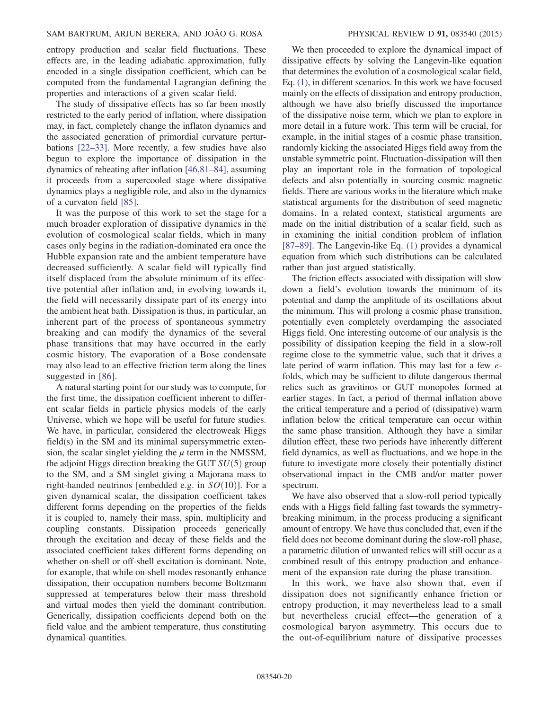entropy production and scalar field fluctuations. These effects are, in the leading adiabatic approximation, fully encoded in a single dissipation coefficient, which can be computed from the fundamental Lagrangian defining the properties and interactions of a given scalar field.

The study of dissipative effects has so far been mostly restricted to the early period of inflation, where dissipation may, in fact, completely change the inflaton dynamics and the associated generation of primordial curvature perturbations [22–[33\].](#page-22-7) More recently, a few studies have also begun to explore the importance of dissipation in the dynamics of reheating after inflation [\[46,81](#page-22-17)–84], assuming it proceeds from a supercooled stage where dissipative dynamics plays a negligible role, and also in the dynamics of a curvaton field [\[85\]](#page-23-7).

It was the purpose of this work to set the stage for a much broader exploration of dissipative dynamics in the evolution of cosmological scalar fields, which in many cases only begins in the radiation-dominated era once the Hubble expansion rate and the ambient temperature have decreased sufficiently. A scalar field will typically find itself displaced from the absolute minimum of its effective potential after inflation and, in evolving towards it, the field will necessarily dissipate part of its energy into the ambient heat bath. Dissipation is thus, in particular, an inherent part of the process of spontaneous symmetry breaking and can modify the dynamics of the several phase transitions that may have occurred in the early cosmic history. The evaporation of a Bose condensate may also lead to an effective friction term along the lines suggested in [\[86\]](#page-23-8).

A natural starting point for our study was to compute, for the first time, the dissipation coefficient inherent to different scalar fields in particle physics models of the early Universe, which we hope will be useful for future studies. We have, in particular, considered the electroweak Higgs field(s) in the SM and its minimal supersymmetric extension, the scalar singlet yielding the  $\mu$  term in the NMSSM, the adjoint Higgs direction breaking the GUT  $SU(5)$  group to the SM, and a SM singlet giving a Majorana mass to right-handed neutrinos [embedded e.g. in  $SO(10)$ ]. For a given dynamical scalar, the dissipation coefficient takes different forms depending on the properties of the fields it is coupled to, namely their mass, spin, multiplicity and coupling constants. Dissipation proceeds generically through the excitation and decay of these fields and the associated coefficient takes different forms depending on whether on-shell or off-shell excitation is dominant. Note, for example, that while on-shell modes resonantly enhance dissipation, their occupation numbers become Boltzmann suppressed at temperatures below their mass threshold and virtual modes then yield the dominant contribution. Generically, dissipation coefficients depend both on the field value and the ambient temperature, thus constituting dynamical quantities.

We then proceeded to explore the dynamical impact of dissipative effects by solving the Langevin-like equation that determines the evolution of a cosmological scalar field, Eq. [\(1\),](#page-4-1) in different scenarios. In this work we have focused mainly on the effects of dissipation and entropy production, although we have also briefly discussed the importance of the dissipative noise term, which we plan to explore in more detail in a future work. This term will be crucial, for example, in the initial stages of a cosmic phase transition, randomly kicking the associated Higgs field away from the unstable symmetric point. Fluctuation-dissipation will then play an important role in the formation of topological defects and also potentially in sourcing cosmic magnetic fields. There are various works in the literature which make statistical arguments for the distribution of seed magnetic domains. In a related context, statistical arguments are made on the initial distribution of a scalar field, such as in examining the initial condition problem of inflation [\[87](#page-23-9)–89]. The Langevin-like Eq. [\(1\)](#page-4-1) provides a dynamical equation from which such distributions can be calculated rather than just argued statistically.

The friction effects associated with dissipation will slow down a field's evolution towards the minimum of its potential and damp the amplitude of its oscillations about the minimum. This will prolong a cosmic phase transition, potentially even completely overdamping the associated Higgs field. One interesting outcome of our analysis is the possibility of dissipation keeping the field in a slow-roll regime close to the symmetric value, such that it drives a late period of warm inflation. This may last for a few efolds, which may be sufficient to dilute dangerous thermal relics such as gravitinos or GUT monopoles formed at earlier stages. In fact, a period of thermal inflation above the critical temperature and a period of (dissipative) warm inflation below the critical temperature can occur within the same phase transition. Although they have a similar dilution effect, these two periods have inherently different field dynamics, as well as fluctuations, and we hope in the future to investigate more closely their potentially distinct observational impact in the CMB and/or matter power spectrum.

We have also observed that a slow-roll period typically ends with a Higgs field falling fast towards the symmetrybreaking minimum, in the process producing a significant amount of entropy. We have thus concluded that, even if the field does not become dominant during the slow-roll phase, a parametric dilution of unwanted relics will still occur as a combined result of this entropy production and enhancement of the expansion rate during the phase transition.

In this work, we have also shown that, even if dissipation does not significantly enhance friction or entropy production, it may nevertheless lead to a small but nevertheless crucial effect—the generation of a cosmological baryon asymmetry. This occurs due to the out-of-equilibrium nature of dissipative processes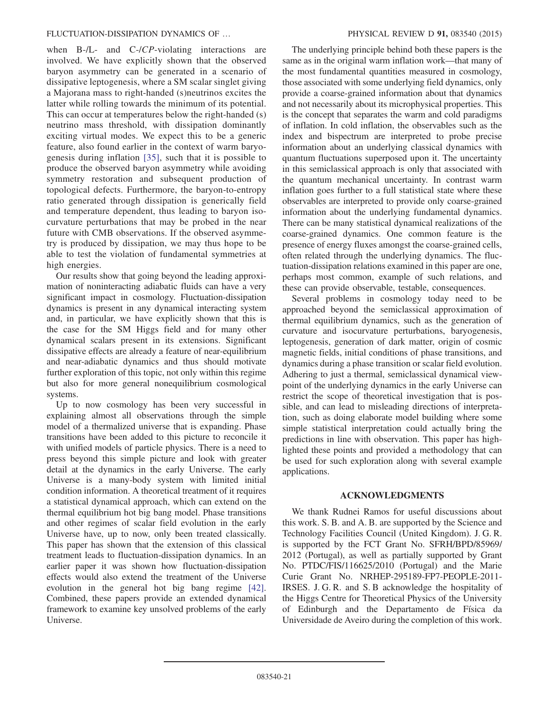when B-/L- and C-/CP-violating interactions are involved. We have explicitly shown that the observed baryon asymmetry can be generated in a scenario of dissipative leptogenesis, where a SM scalar singlet giving a Majorana mass to right-handed (s)neutrinos excites the latter while rolling towards the minimum of its potential. This can occur at temperatures below the right-handed (s) neutrino mass threshold, with dissipation dominantly exciting virtual modes. We expect this to be a generic feature, also found earlier in the context of warm baryogenesis during inflation [\[35\],](#page-22-9) such that it is possible to produce the observed baryon asymmetry while avoiding symmetry restoration and subsequent production of topological defects. Furthermore, the baryon-to-entropy ratio generated through dissipation is generically field and temperature dependent, thus leading to baryon isocurvature perturbations that may be probed in the near future with CMB observations. If the observed asymmetry is produced by dissipation, we may thus hope to be able to test the violation of fundamental symmetries at high energies.

Our results show that going beyond the leading approximation of noninteracting adiabatic fluids can have a very significant impact in cosmology. Fluctuation-dissipation dynamics is present in any dynamical interacting system and, in particular, we have explicitly shown that this is the case for the SM Higgs field and for many other dynamical scalars present in its extensions. Significant dissipative effects are already a feature of near-equilibrium and near-adiabatic dynamics and thus should motivate further exploration of this topic, not only within this regime but also for more general nonequilibrium cosmological systems.

Up to now cosmology has been very successful in explaining almost all observations through the simple model of a thermalized universe that is expanding. Phase transitions have been added to this picture to reconcile it with unified models of particle physics. There is a need to press beyond this simple picture and look with greater detail at the dynamics in the early Universe. The early Universe is a many-body system with limited initial condition information. A theoretical treatment of it requires a statistical dynamical approach, which can extend on the thermal equilibrium hot big bang model. Phase transitions and other regimes of scalar field evolution in the early Universe have, up to now, only been treated classically. This paper has shown that the extension of this classical treatment leads to fluctuation-dissipation dynamics. In an earlier paper it was shown how fluctuation-dissipation effects would also extend the treatment of the Universe evolution in the general hot big bang regime [\[42\]](#page-22-16). Combined, these papers provide an extended dynamical framework to examine key unsolved problems of the early Universe.

The underlying principle behind both these papers is the same as in the original warm inflation work—that many of the most fundamental quantities measured in cosmology, those associated with some underlying field dynamics, only provide a coarse-grained information about that dynamics and not necessarily about its microphysical properties. This is the concept that separates the warm and cold paradigms of inflation. In cold inflation, the observables such as the index and bispectrum are interpreted to probe precise information about an underlying classical dynamics with quantum fluctuations superposed upon it. The uncertainty in this semiclassical approach is only that associated with the quantum mechanical uncertainty. In contrast warm inflation goes further to a full statistical state where these observables are interpreted to provide only coarse-grained information about the underlying fundamental dynamics. There can be many statistical dynamical realizations of the coarse-grained dynamics. One common feature is the presence of energy fluxes amongst the coarse-grained cells, often related through the underlying dynamics. The fluctuation-dissipation relations examined in this paper are one, perhaps most common, example of such relations, and these can provide observable, testable, consequences.

Several problems in cosmology today need to be approached beyond the semiclassical approximation of thermal equilibrium dynamics, such as the generation of curvature and isocurvature perturbations, baryogenesis, leptogenesis, generation of dark matter, origin of cosmic magnetic fields, initial conditions of phase transitions, and dynamics during a phase transition or scalar field evolution. Adhering to just a thermal, semiclassical dynamical viewpoint of the underlying dynamics in the early Universe can restrict the scope of theoretical investigation that is possible, and can lead to misleading directions of interpretation, such as doing elaborate model building where some simple statistical interpretation could actually bring the predictions in line with observation. This paper has highlighted these points and provided a methodology that can be used for such exploration along with several example applications.

# ACKNOWLEDGMENTS

We thank Rudnei Ramos for useful discussions about this work. S. B. and A. B. are supported by the Science and Technology Facilities Council (United Kingdom). J. G. R. is supported by the FCT Grant No. SFRH/BPD/85969/ 2012 (Portugal), as well as partially supported by Grant No. PTDC/FIS/116625/2010 (Portugal) and the Marie Curie Grant No. NRHEP-295189-FP7-PEOPLE-2011- IRSES. J. G. R. and S. B acknowledge the hospitality of the Higgs Centre for Theoretical Physics of the University of Edinburgh and the Departamento de Física da Universidade de Aveiro during the completion of this work.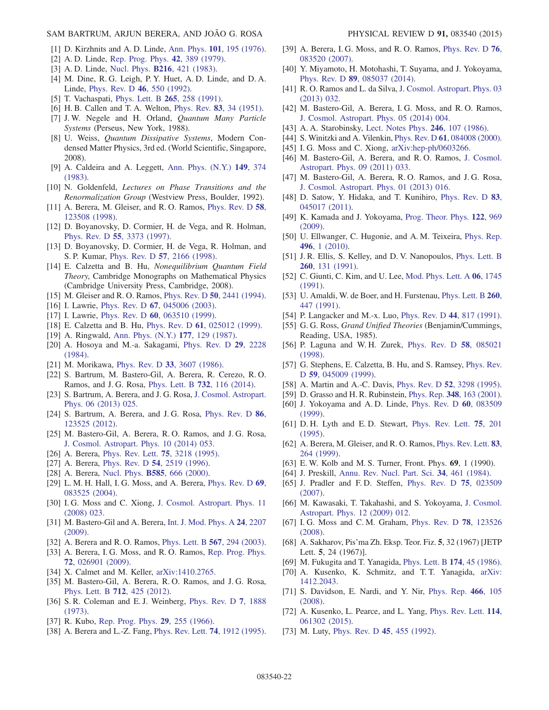#### SAM BARTRUM, ARJUN BERERA, AND JOÃO G. ROSA PHYSICAL REVIEW D 91, 083540 (2015)

- <span id="page-22-0"></span>[1] D. Kirzhnits and A. D. Linde, Ann. Phys. **101**[, 195 \(1976\).](http://dx.doi.org/10.1016/0003-4916(76)90279-7)
- <span id="page-22-1"></span>[2] A. D. Linde, [Rep. Prog. Phys.](http://dx.doi.org/10.1088/0034-4885/42/3/001) **42**, 389 (1979).
- [3] A. D. Linde, Nucl. Phys. **B216**[, 421 \(1983\)](http://dx.doi.org/10.1016/0550-3213(83)90293-6).
- <span id="page-22-2"></span>[4] M. Dine, R. G. Leigh, P. Y. Huet, A. D. Linde, and D. A. Linde, [Phys. Rev. D](http://dx.doi.org/10.1103/PhysRevD.46.550) 46, 550 (1992).
- <span id="page-22-3"></span>[5] T. Vachaspati, [Phys. Lett. B](http://dx.doi.org/10.1016/0370-2693(91)90051-Q) **265**, 258 (1991).
- <span id="page-22-4"></span>[6] H. B. Callen and T. A. Welton, Phys. Rev. 83[, 34 \(1951\).](http://dx.doi.org/10.1103/PhysRev.83.34)
- <span id="page-22-5"></span>[7] J. W. Negele and H. Orland, Quantum Many Particle Systems (Perseus, New York, 1988).
- [8] U. Weiss, Quantum Dissipative Systems, Modern Condensed Matter Physics, 3rd ed. (World Scientific, Singapore, 2008).
- [9] A. Caldeira and A. Leggett, [Ann. Phys. \(N.Y.\)](http://dx.doi.org/10.1016/0003-4916(83)90202-6) 149, 374 [\(1983\).](http://dx.doi.org/10.1016/0003-4916(83)90202-6)
- [10] N. Goldenfeld, Lectures on Phase Transitions and the Renormalization Group (Westview Press, Boulder, 1992).
- <span id="page-22-6"></span>[11] A. Berera, M. Gleiser, and R.O. Ramos, [Phys. Rev. D](http://dx.doi.org/10.1103/PhysRevD.58.123508) 58, [123508 \(1998\).](http://dx.doi.org/10.1103/PhysRevD.58.123508)
- [12] D. Boyanovsky, D. Cormier, H. de Vega, and R. Holman, Phys. Rev. D 55[, 3373 \(1997\).](http://dx.doi.org/10.1103/PhysRevD.55.3373)
- [13] D. Boyanovsky, D. Cormier, H. de Vega, R. Holman, and S. P. Kumar, Phys. Rev. D 57[, 2166 \(1998\).](http://dx.doi.org/10.1103/PhysRevD.57.2166)
- [14] E. Calzetta and B. Hu, Nonequilibrium Quantum Field Theory, Cambridge Monographs on Mathematical Physics (Cambridge University Press, Cambridge, 2008).
- <span id="page-22-12"></span>[15] M. Gleiser and R. O. Ramos, *Phys. Rev. D* **50**[, 2441 \(1994\).](http://dx.doi.org/10.1103/PhysRevD.50.2441)
- [16] I. Lawrie, Phys. Rev. D 67[, 045006 \(2003\)](http://dx.doi.org/10.1103/PhysRevD.67.045006).
- [17] I. Lawrie, Phys. Rev. D 60[, 063510 \(1999\)](http://dx.doi.org/10.1103/PhysRevD.60.063510).
- [18] E. Calzetta and B. Hu, Phys. Rev. D 61[, 025012 \(1999\)](http://dx.doi.org/10.1103/PhysRevD.61.025012).
- [19] A. Ringwald, [Ann. Phys. \(N.Y.\)](http://dx.doi.org/10.1016/S0003-4916(87)80027-1) 177, 129 (1987).
- [20] A. Hosoya and M.-a. Sakagami, [Phys. Rev. D](http://dx.doi.org/10.1103/PhysRevD.29.2228) 29, 2228 [\(1984\).](http://dx.doi.org/10.1103/PhysRevD.29.2228)
- [21] M. Morikawa, Phys. Rev. D 33[, 3607 \(1986\)](http://dx.doi.org/10.1103/PhysRevD.33.3607).
- <span id="page-22-7"></span>[22] S. Bartrum, M. Bastero-Gil, A. Berera, R. Cerezo, R. O. Ramos, and J. G. Rosa, [Phys. Lett. B](http://dx.doi.org/10.1016/j.physletb.2014.03.029) 732, 116 (2014).
- [23] S. Bartrum, A. Berera, and J. G. Rosa, [J. Cosmol. Astropart.](http://dx.doi.org/10.1088/1475-7516/2013/06/025) [Phys. 06 \(2013\) 025.](http://dx.doi.org/10.1088/1475-7516/2013/06/025)
- [24] S. Bartrum, A. Berera, and J. G. Rosa, [Phys. Rev. D](http://dx.doi.org/10.1103/PhysRevD.86.123525) 86, [123525 \(2012\).](http://dx.doi.org/10.1103/PhysRevD.86.123525)
- [25] M. Bastero-Gil, A. Berera, R.O. Ramos, and J.G. Rosa, [J. Cosmol. Astropart. Phys. 10 \(2014\) 053.](http://dx.doi.org/10.1088/1475-7516/2014/10/053)
- [26] A. Berera, [Phys. Rev. Lett.](http://dx.doi.org/10.1103/PhysRevLett.75.3218) 75, 3218 (1995).
- [27] A. Berera, Phys. Rev. D **54**[, 2519 \(1996\)](http://dx.doi.org/10.1103/PhysRevD.54.2519).
- [28] A. Berera, Nucl. Phys. **B585**[, 666 \(2000\)](http://dx.doi.org/10.1016/S0550-3213(00)00411-9).
- [29] L. M. H. Hall, I. G. Moss, and A. Berera, [Phys. Rev. D](http://dx.doi.org/10.1103/PhysRevD.69.083525) 69, [083525 \(2004\).](http://dx.doi.org/10.1103/PhysRevD.69.083525)
- [30] I. G. Moss and C. Xiong, [J. Cosmol. Astropart. Phys. 11](http://dx.doi.org/10.1088/1475-7516/2008/11/023) [\(2008\) 023.](http://dx.doi.org/10.1088/1475-7516/2008/11/023)
- [31] M. Bastero-Gil and A. Berera, [Int. J. Mod. Phys. A](http://dx.doi.org/10.1142/S0217751X09044206) 24, 2207 [\(2009\).](http://dx.doi.org/10.1142/S0217751X09044206)
- [32] A. Berera and R. O. Ramos, [Phys. Lett. B](http://dx.doi.org/10.1016/j.physletb.2003.06.028) **567**, 294 (2003).
- <span id="page-22-13"></span>[33] A. Berera, I. G. Moss, and R. O. Ramos, [Rep. Prog. Phys.](http://dx.doi.org/10.1088/0034-4885/72/2/026901) 72[, 026901 \(2009\).](http://dx.doi.org/10.1088/0034-4885/72/2/026901)
- <span id="page-22-8"></span>[34] X. Calmet and M. Keller, [arXiv:1410.2765.](http://arXiv.org/abs/1410.2765)
- <span id="page-22-9"></span>[35] M. Bastero-Gil, A. Berera, R.O. Ramos, and J.G. Rosa, [Phys. Lett. B](http://dx.doi.org/10.1016/j.physletb.2012.05.032) 712, 425 (2012).
- <span id="page-22-10"></span>[36] S. R. Coleman and E. J. Weinberg, [Phys. Rev. D](http://dx.doi.org/10.1103/PhysRevD.7.1888) 7, 1888 [\(1973\).](http://dx.doi.org/10.1103/PhysRevD.7.1888)
- <span id="page-22-11"></span>[37] R. Kubo, [Rep. Prog. Phys.](http://dx.doi.org/10.1088/0034-4885/29/1/306) **29**, 255 (1966).
- [38] A. Berera and L.-Z. Fang, [Phys. Rev. Lett.](http://dx.doi.org/10.1103/PhysRevLett.74.1912) 74, 1912 (1995).
- [39] A. Berera, I. G. Moss, and R. O. Ramos, [Phys. Rev. D](http://dx.doi.org/10.1103/PhysRevD.76.083520) 76, [083520 \(2007\).](http://dx.doi.org/10.1103/PhysRevD.76.083520)
- [40] Y. Miyamoto, H. Motohashi, T. Suyama, and J. Yokoyama, Phys. Rev. D 89[, 085037 \(2014\)](http://dx.doi.org/10.1103/PhysRevD.89.085037).
- <span id="page-22-24"></span>[41] R. O. Ramos and L. da Silva, [J. Cosmol. Astropart. Phys. 03](http://dx.doi.org/10.1088/1475-7516/2013/03/032) [\(2013\) 032.](http://dx.doi.org/10.1088/1475-7516/2013/03/032)
- <span id="page-22-16"></span>[42] M. Bastero-Gil, A. Berera, I. G. Moss, and R. O. Ramos, [J. Cosmol. Astropart. Phys. 05 \(2014\) 004.](http://dx.doi.org/10.1088/1475-7516/2014/05/004)
- <span id="page-22-14"></span>[43] A. A. Starobinsky, [Lect. Notes Phys.](http://dx.doi.org/10.1007/3-540-16452-9) **246**, 107 (1986).
- <span id="page-22-15"></span>[44] S. Winitzki and A. Vilenkin, Phys. Rev. D 61[, 084008 \(2000\).](http://dx.doi.org/10.1103/PhysRevD.61.084008)
- [45] I. G. Moss and C. Xiong, [arXiv:hep-ph/0603266.](http://arXiv.org/abs/hep-ph/0603266)
- <span id="page-22-17"></span>[46] M. Bastero-Gil, A. Berera, and R. O. Ramos, [J. Cosmol.](http://dx.doi.org/10.1088/1475-7516/2011/09/033) [Astropart. Phys. 09 \(2011\) 033.](http://dx.doi.org/10.1088/1475-7516/2011/09/033)
- <span id="page-22-18"></span>[47] M. Bastero-Gil, A. Berera, R.O. Ramos, and J.G. Rosa, [J. Cosmol. Astropart. Phys. 01 \(2013\) 016.](http://dx.doi.org/10.1088/1475-7516/2013/01/016)
- <span id="page-22-19"></span>[48] D. Satow, Y. Hidaka, and T. Kunihiro, [Phys. Rev. D](http://dx.doi.org/10.1103/PhysRevD.83.045017) 83, [045017 \(2011\).](http://dx.doi.org/10.1103/PhysRevD.83.045017)
- <span id="page-22-20"></span>[49] K. Kamada and J. Yokoyama, [Prog. Theor. Phys.](http://dx.doi.org/10.1143/PTP.122.969) 122, 969 [\(2009\).](http://dx.doi.org/10.1143/PTP.122.969)
- <span id="page-22-21"></span>[50] U. Ellwanger, C. Hugonie, and A. M. Teixeira, [Phys. Rep.](http://dx.doi.org/10.1016/j.physrep.2010.07.001) 496[, 1 \(2010\).](http://dx.doi.org/10.1016/j.physrep.2010.07.001)
- <span id="page-22-22"></span>[51] J. R. Ellis, S. Kelley, and D. V. Nanopoulos, [Phys. Lett. B](http://dx.doi.org/10.1016/0370-2693(91)90980-5) 260[, 131 \(1991\)](http://dx.doi.org/10.1016/0370-2693(91)90980-5).
- [52] C. Giunti, C. Kim, and U. Lee, [Mod. Phys. Lett. A](http://dx.doi.org/10.1142/S0217732391001883) 06, 1745 [\(1991\).](http://dx.doi.org/10.1142/S0217732391001883)
- [53] U. Amaldi, W. de Boer, and H. Furstenau, [Phys. Lett. B](http://dx.doi.org/10.1016/0370-2693(91)91641-8) 260, [447 \(1991\)](http://dx.doi.org/10.1016/0370-2693(91)91641-8).
- [54] P. Langacker and M.-x. Luo, [Phys. Rev. D](http://dx.doi.org/10.1103/PhysRevD.44.817) 44, 817 (1991).
- <span id="page-22-23"></span>[55] G. G. Ross, Grand Unified Theories (Benjamin/Cummings, Reading, USA, 1985).
- <span id="page-22-25"></span>[56] P. Laguna and W. H. Zurek, [Phys. Rev. D](http://dx.doi.org/10.1103/PhysRevD.58.085021) 58, 085021 [\(1998\).](http://dx.doi.org/10.1103/PhysRevD.58.085021)
- [57] G. Stephens, E. Calzetta, B. Hu, and S. Ramsey, [Phys. Rev.](http://dx.doi.org/10.1103/PhysRevD.59.045009) D 59[, 045009 \(1999\)](http://dx.doi.org/10.1103/PhysRevD.59.045009).
- [58] A. Martin and A.-C. Davis, Phys. Rev. D **52**[, 3298 \(1995\).](http://dx.doi.org/10.1103/PhysRevD.52.3298)
- [59] D. Grasso and H. R. Rubinstein, Phys. Rep. 348[, 163 \(2001\).](http://dx.doi.org/10.1016/S0370-1573(00)00110-1)
- <span id="page-22-26"></span>[60] J. Yokoyama and A.D. Linde, [Phys. Rev. D](http://dx.doi.org/10.1103/PhysRevD.60.083509) 60, 083509 [\(1999\).](http://dx.doi.org/10.1103/PhysRevD.60.083509)
- <span id="page-22-27"></span>[61] D. H. Lyth and E. D. Stewart, [Phys. Rev. Lett.](http://dx.doi.org/10.1103/PhysRevLett.75.201) 75, 201 [\(1995\).](http://dx.doi.org/10.1103/PhysRevLett.75.201)
- [62] A. Berera, M. Gleiser, and R. O. Ramos, *[Phys. Rev. Lett.](http://dx.doi.org/10.1103/PhysRevLett.83.264)* 83, [264 \(1999\)](http://dx.doi.org/10.1103/PhysRevLett.83.264).
- <span id="page-22-28"></span>[63] E. W. Kolb and M. S. Turner, Front. Phys. 69, 1 (1990).
- [64] J. Preskill, [Annu. Rev. Nucl. Part. Sci.](http://dx.doi.org/10.1146/annurev.ns.34.120184.002333) 34, 461 (1984).
- <span id="page-22-29"></span>[65] J. Pradler and F.D. Steffen, [Phys. Rev. D](http://dx.doi.org/10.1103/PhysRevD.75.023509) 75, 023509 [\(2007\).](http://dx.doi.org/10.1103/PhysRevD.75.023509)
- <span id="page-22-30"></span>[66] M. Kawasaki, T. Takahashi, and S. Yokoyama, [J. Cosmol.](http://dx.doi.org/10.1088/1475-7516/2009/12/012) [Astropart. Phys. 12 \(2009\) 012.](http://dx.doi.org/10.1088/1475-7516/2009/12/012)
- <span id="page-22-31"></span>[67] I.G. Moss and C.M. Graham, [Phys. Rev. D](http://dx.doi.org/10.1103/PhysRevD.78.123526) 78, 123526 [\(2008\).](http://dx.doi.org/10.1103/PhysRevD.78.123526)
- <span id="page-22-32"></span>[68] A. Sakharov, Pis'ma Zh. Eksp. Teor. Fiz. 5, 32 (1967) [JETP Lett. 5, 24 (1967)].
- <span id="page-22-33"></span>[69] M. Fukugita and T. Yanagida, [Phys. Lett. B](http://dx.doi.org/10.1016/0370-2693(86)91126-3) 174, 45 (1986).
- [70] A. Kusenko, K. Schmitz, and T. T. Yanagida, [arXiv:](http://arXiv.org/abs/1412.2043) [1412.2043.](http://arXiv.org/abs/1412.2043)
- [71] S. Davidson, E. Nardi, and Y. Nir, [Phys. Rep.](http://dx.doi.org/10.1016/j.physrep.2008.06.002) 466, 105 [\(2008\).](http://dx.doi.org/10.1016/j.physrep.2008.06.002)
- [72] A. Kusenko, L. Pearce, and L. Yang, [Phys. Rev. Lett.](http://dx.doi.org/10.1103/PhysRevLett.114.061302) 114, [061302 \(2015\).](http://dx.doi.org/10.1103/PhysRevLett.114.061302)
- [73] M. Luty, [Phys. Rev. D](http://dx.doi.org/10.1103/PhysRevD.45.455) **45**, 455 (1992).